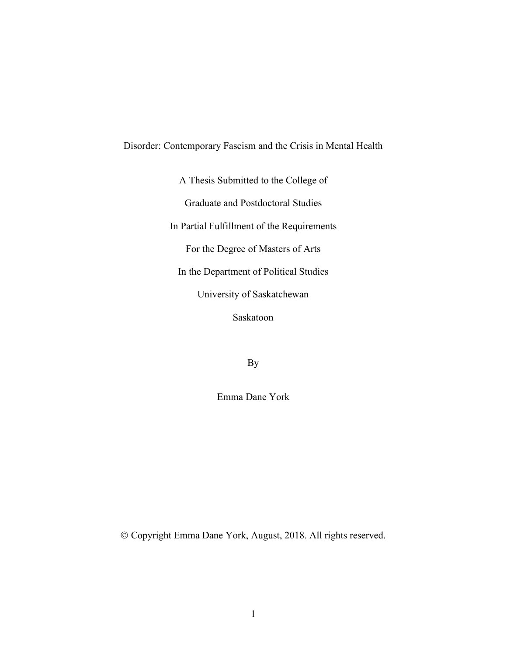# Disorder: Contemporary Fascism and the Crisis in Mental Health

A Thesis Submitted to the College of

Graduate and Postdoctoral Studies

In Partial Fulfillment of the Requirements

For the Degree of Masters of Arts

In the Department of Political Studies

University of Saskatchewan

Saskatoon

By

Emma Dane York

Ó Copyright Emma Dane York, August, 2018. All rights reserved.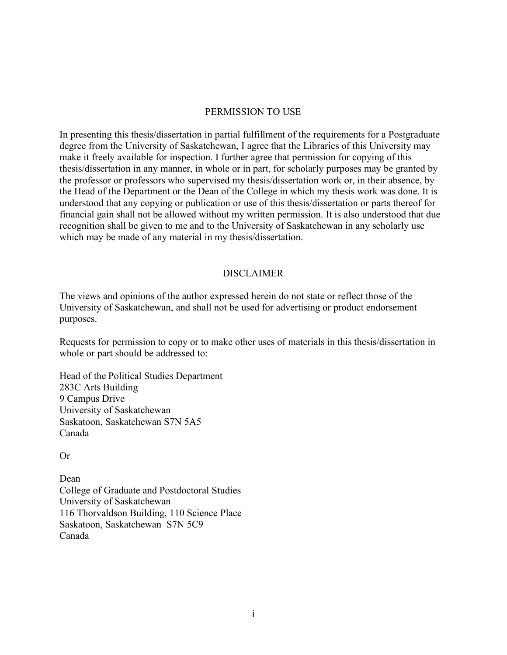# PERMISSION TO USE

In presenting this thesis/dissertation in partial fulfillment of the requirements for a Postgraduate degree from the University of Saskatchewan, I agree that the Libraries of this University may make it freely available for inspection. I further agree that permission for copying of this thesis/dissertation in any manner, in whole or in part, for scholarly purposes may be granted by the professor or professors who supervised my thesis/dissertation work or, in their absence, by the Head of the Department or the Dean of the College in which my thesis work was done. It is understood that any copying or publication or use of this thesis/dissertation or parts thereof for financial gain shall not be allowed without my written permission. It is also understood that due recognition shall be given to me and to the University of Saskatchewan in any scholarly use which may be made of any material in my thesis/dissertation.

# DISCLAIMER

The views and opinions of the author expressed herein do not state or reflect those of the University of Saskatchewan, and shall not be used for advertising or product endorsement purposes.

Requests for permission to copy or to make other uses of materials in this thesis/dissertation in whole or part should be addressed to:

Head of the Political Studies Department 283C Arts Building 9 Campus Drive University of Saskatchewan Saskatoon, Saskatchewan S7N 5A5 Canada

Or

Dean College of Graduate and Postdoctoral Studies University of Saskatchewan 116 Thorvaldson Building, 110 Science Place Saskatoon, Saskatchewan S7N 5C9 Canada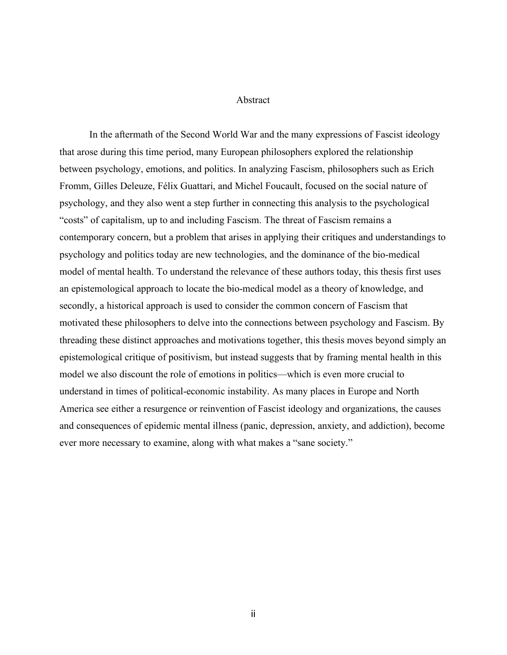#### Abstract

In the aftermath of the Second World War and the many expressions of Fascist ideology that arose during this time period, many European philosophers explored the relationship between psychology, emotions, and politics. In analyzing Fascism, philosophers such as Erich Fromm, Gilles Deleuze, Félix Guattari, and Michel Foucault, focused on the social nature of psychology, and they also went a step further in connecting this analysis to the psychological "costs" of capitalism, up to and including Fascism. The threat of Fascism remains a contemporary concern, but a problem that arises in applying their critiques and understandings to psychology and politics today are new technologies, and the dominance of the bio-medical model of mental health. To understand the relevance of these authors today, this thesis first uses an epistemological approach to locate the bio-medical model as a theory of knowledge, and secondly, a historical approach is used to consider the common concern of Fascism that motivated these philosophers to delve into the connections between psychology and Fascism. By threading these distinct approaches and motivations together, this thesis moves beyond simply an epistemological critique of positivism, but instead suggests that by framing mental health in this model we also discount the role of emotions in politics—which is even more crucial to understand in times of political-economic instability. As many places in Europe and North America see either a resurgence or reinvention of Fascist ideology and organizations, the causes and consequences of epidemic mental illness (panic, depression, anxiety, and addiction), become ever more necessary to examine, along with what makes a "sane society."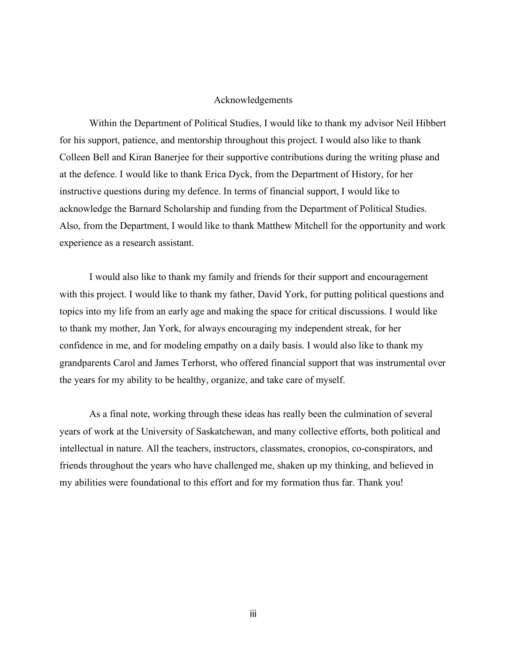#### Acknowledgements

Within the Department of Political Studies, I would like to thank my advisor Neil Hibbert for his support, patience, and mentorship throughout this project. I would also like to thank Colleen Bell and Kiran Banerjee for their supportive contributions during the writing phase and at the defence. I would like to thank Erica Dyck, from the Department of History, for her instructive questions during my defence. In terms of financial support, I would like to acknowledge the Barnard Scholarship and funding from the Department of Political Studies. Also, from the Department, I would like to thank Matthew Mitchell for the opportunity and work experience as a research assistant.

I would also like to thank my family and friends for their support and encouragement with this project. I would like to thank my father, David York, for putting political questions and topics into my life from an early age and making the space for critical discussions. I would like to thank my mother, Jan York, for always encouraging my independent streak, for her confidence in me, and for modeling empathy on a daily basis. I would also like to thank my grandparents Carol and James Terhorst, who offered financial support that was instrumental over the years for my ability to be healthy, organize, and take care of myself.

As a final note, working through these ideas has really been the culmination of several years of work at the University of Saskatchewan, and many collective efforts, both political and intellectual in nature. All the teachers, instructors, classmates, cronopios, co-conspirators, and friends throughout the years who have challenged me, shaken up my thinking, and believed in my abilities were foundational to this effort and for my formation thus far. Thank you!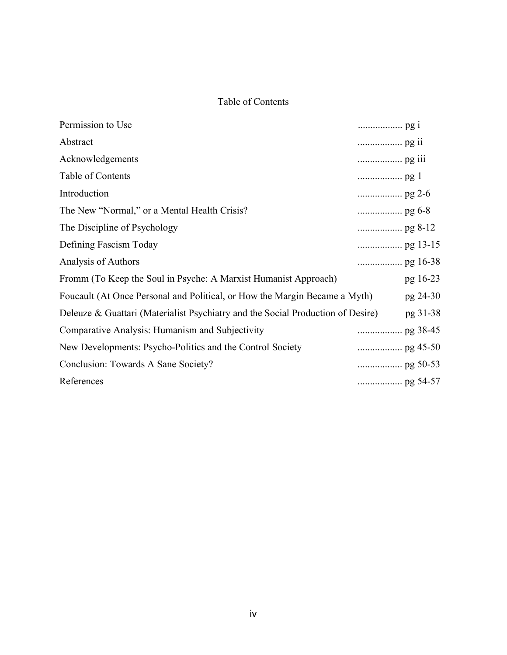# Table of Contents

|                                                                                 | pg 16-23        |
|---------------------------------------------------------------------------------|-----------------|
| Foucault (At Once Personal and Political, or How the Margin Became a Myth)      | pg 24-30        |
| Deleuze & Guattari (Materialist Psychiatry and the Social Production of Desire) | pg 31-38        |
|                                                                                 |                 |
|                                                                                 |                 |
|                                                                                 |                 |
|                                                                                 |                 |
|                                                                                 | $\ldots$ pg 2-6 |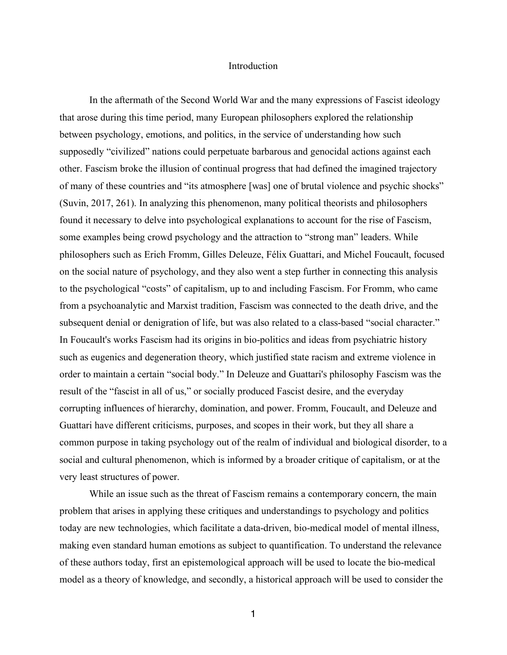#### Introduction

In the aftermath of the Second World War and the many expressions of Fascist ideology that arose during this time period, many European philosophers explored the relationship between psychology, emotions, and politics, in the service of understanding how such supposedly "civilized" nations could perpetuate barbarous and genocidal actions against each other. Fascism broke the illusion of continual progress that had defined the imagined trajectory of many of these countries and "its atmosphere [was] one of brutal violence and psychic shocks" (Suvin, 2017, 261). In analyzing this phenomenon, many political theorists and philosophers found it necessary to delve into psychological explanations to account for the rise of Fascism, some examples being crowd psychology and the attraction to "strong man" leaders. While philosophers such as Erich Fromm, Gilles Deleuze, Félix Guattari, and Michel Foucault, focused on the social nature of psychology, and they also went a step further in connecting this analysis to the psychological "costs" of capitalism, up to and including Fascism. For Fromm, who came from a psychoanalytic and Marxist tradition, Fascism was connected to the death drive, and the subsequent denial or denigration of life, but was also related to a class-based "social character." In Foucault's works Fascism had its origins in bio-politics and ideas from psychiatric history such as eugenics and degeneration theory, which justified state racism and extreme violence in order to maintain a certain "social body." In Deleuze and Guattari's philosophy Fascism was the result of the "fascist in all of us," or socially produced Fascist desire, and the everyday corrupting influences of hierarchy, domination, and power. Fromm, Foucault, and Deleuze and Guattari have different criticisms, purposes, and scopes in their work, but they all share a common purpose in taking psychology out of the realm of individual and biological disorder, to a social and cultural phenomenon, which is informed by a broader critique of capitalism, or at the very least structures of power.

While an issue such as the threat of Fascism remains a contemporary concern, the main problem that arises in applying these critiques and understandings to psychology and politics today are new technologies, which facilitate a data-driven, bio-medical model of mental illness, making even standard human emotions as subject to quantification. To understand the relevance of these authors today, first an epistemological approach will be used to locate the bio-medical model as a theory of knowledge, and secondly, a historical approach will be used to consider the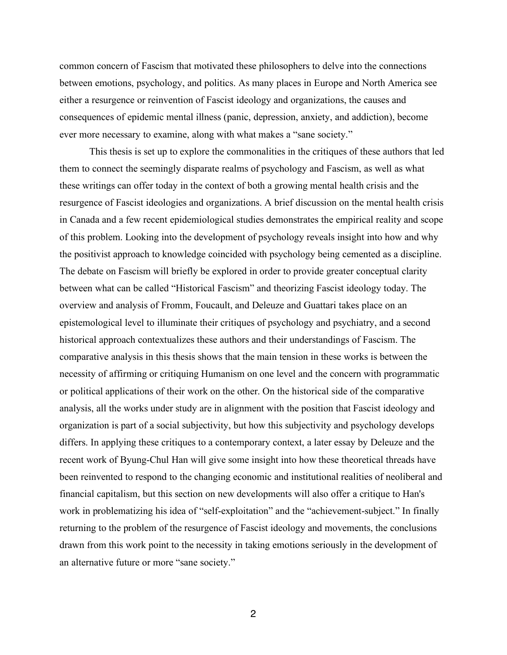common concern of Fascism that motivated these philosophers to delve into the connections between emotions, psychology, and politics. As many places in Europe and North America see either a resurgence or reinvention of Fascist ideology and organizations, the causes and consequences of epidemic mental illness (panic, depression, anxiety, and addiction), become ever more necessary to examine, along with what makes a "sane society."

This thesis is set up to explore the commonalities in the critiques of these authors that led them to connect the seemingly disparate realms of psychology and Fascism, as well as what these writings can offer today in the context of both a growing mental health crisis and the resurgence of Fascist ideologies and organizations. A brief discussion on the mental health crisis in Canada and a few recent epidemiological studies demonstrates the empirical reality and scope of this problem. Looking into the development of psychology reveals insight into how and why the positivist approach to knowledge coincided with psychology being cemented as a discipline. The debate on Fascism will briefly be explored in order to provide greater conceptual clarity between what can be called "Historical Fascism" and theorizing Fascist ideology today. The overview and analysis of Fromm, Foucault, and Deleuze and Guattari takes place on an epistemological level to illuminate their critiques of psychology and psychiatry, and a second historical approach contextualizes these authors and their understandings of Fascism. The comparative analysis in this thesis shows that the main tension in these works is between the necessity of affirming or critiquing Humanism on one level and the concern with programmatic or political applications of their work on the other. On the historical side of the comparative analysis, all the works under study are in alignment with the position that Fascist ideology and organization is part of a social subjectivity, but how this subjectivity and psychology develops differs. In applying these critiques to a contemporary context, a later essay by Deleuze and the recent work of Byung-Chul Han will give some insight into how these theoretical threads have been reinvented to respond to the changing economic and institutional realities of neoliberal and financial capitalism, but this section on new developments will also offer a critique to Han's work in problematizing his idea of "self-exploitation" and the "achievement-subject." In finally returning to the problem of the resurgence of Fascist ideology and movements, the conclusions drawn from this work point to the necessity in taking emotions seriously in the development of an alternative future or more "sane society."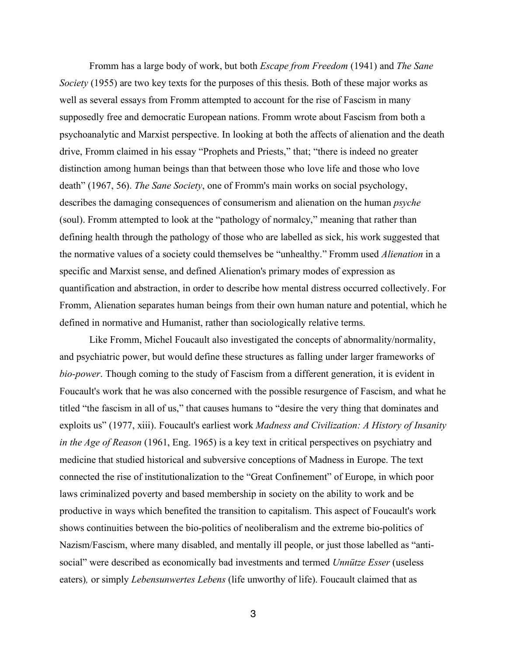Fromm has a large body of work, but both *Escape from Freedom* (1941) and *The Sane Society* (1955) are two key texts for the purposes of this thesis. Both of these major works as well as several essays from Fromm attempted to account for the rise of Fascism in many supposedly free and democratic European nations. Fromm wrote about Fascism from both a psychoanalytic and Marxist perspective. In looking at both the affects of alienation and the death drive, Fromm claimed in his essay "Prophets and Priests," that; "there is indeed no greater distinction among human beings than that between those who love life and those who love death" (1967, 56). *The Sane Society*, one of Fromm's main works on social psychology, describes the damaging consequences of consumerism and alienation on the human *psyche* (soul). Fromm attempted to look at the "pathology of normalcy," meaning that rather than defining health through the pathology of those who are labelled as sick, his work suggested that the normative values of a society could themselves be "unhealthy." Fromm used *Alienation* in a specific and Marxist sense, and defined Alienation's primary modes of expression as quantification and abstraction, in order to describe how mental distress occurred collectively. For Fromm, Alienation separates human beings from their own human nature and potential, which he defined in normative and Humanist, rather than sociologically relative terms.

Like Fromm, Michel Foucault also investigated the concepts of abnormality/normality, and psychiatric power, but would define these structures as falling under larger frameworks of *bio-power*. Though coming to the study of Fascism from a different generation, it is evident in Foucault's work that he was also concerned with the possible resurgence of Fascism, and what he titled "the fascism in all of us," that causes humans to "desire the very thing that dominates and exploits us" (1977, xiii). Foucault's earliest work *Madness and Civilization: A History of Insanity in the Age of Reason* (1961, Eng. 1965) is a key text in critical perspectives on psychiatry and medicine that studied historical and subversive conceptions of Madness in Europe. The text connected the rise of institutionalization to the "Great Confinement" of Europe, in which poor laws criminalized poverty and based membership in society on the ability to work and be productive in ways which benefited the transition to capitalism. This aspect of Foucault's work shows continuities between the bio-politics of neoliberalism and the extreme bio-politics of Nazism/Fascism, where many disabled, and mentally ill people, or just those labelled as "antisocial" were described as economically bad investments and termed *Unnütze Esser* (useless eaters)*,* or simply *Lebensunwertes Lebens* (life unworthy of life). Foucault claimed that as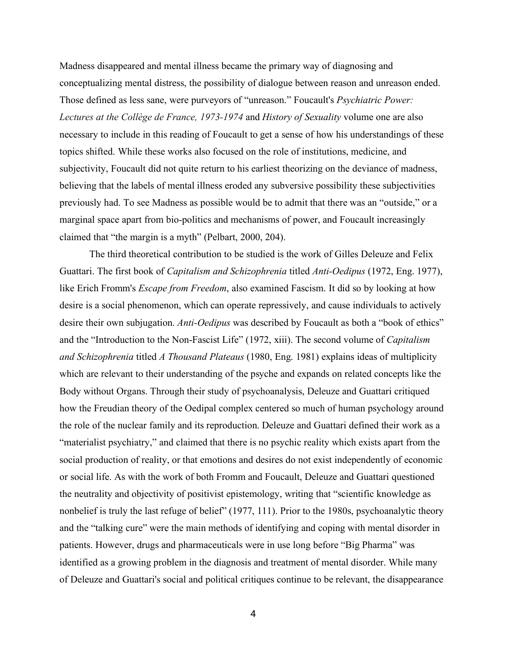Madness disappeared and mental illness became the primary way of diagnosing and conceptualizing mental distress, the possibility of dialogue between reason and unreason ended. Those defined as less sane, were purveyors of "unreason." Foucault's *Psychiatric Power: Lectures at the Collège de France, 1973-1974* and *History of Sexuality* volume one are also necessary to include in this reading of Foucault to get a sense of how his understandings of these topics shifted. While these works also focused on the role of institutions, medicine, and subjectivity, Foucault did not quite return to his earliest theorizing on the deviance of madness, believing that the labels of mental illness eroded any subversive possibility these subjectivities previously had. To see Madness as possible would be to admit that there was an "outside," or a marginal space apart from bio-politics and mechanisms of power, and Foucault increasingly claimed that "the margin is a myth" (Pelbart, 2000, 204).

The third theoretical contribution to be studied is the work of Gilles Deleuze and Felix Guattari. The first book of *Capitalism and Schizophrenia* titled *Anti-Oedipus* (1972, Eng. 1977), like Erich Fromm's *Escape from Freedom*, also examined Fascism. It did so by looking at how desire is a social phenomenon, which can operate repressively, and cause individuals to actively desire their own subjugation. *Anti-Oedipus* was described by Foucault as both a "book of ethics" and the "Introduction to the Non-Fascist Life" (1972, xiii). The second volume of *Capitalism and Schizophrenia* titled *A Thousand Plateaus* (1980, Eng. 1981) explains ideas of multiplicity which are relevant to their understanding of the psyche and expands on related concepts like the Body without Organs. Through their study of psychoanalysis, Deleuze and Guattari critiqued how the Freudian theory of the Oedipal complex centered so much of human psychology around the role of the nuclear family and its reproduction. Deleuze and Guattari defined their work as a "materialist psychiatry," and claimed that there is no psychic reality which exists apart from the social production of reality, or that emotions and desires do not exist independently of economic or social life. As with the work of both Fromm and Foucault, Deleuze and Guattari questioned the neutrality and objectivity of positivist epistemology, writing that "scientific knowledge as nonbelief is truly the last refuge of belief" (1977, 111). Prior to the 1980s, psychoanalytic theory and the "talking cure" were the main methods of identifying and coping with mental disorder in patients. However, drugs and pharmaceuticals were in use long before "Big Pharma" was identified as a growing problem in the diagnosis and treatment of mental disorder. While many of Deleuze and Guattari's social and political critiques continue to be relevant, the disappearance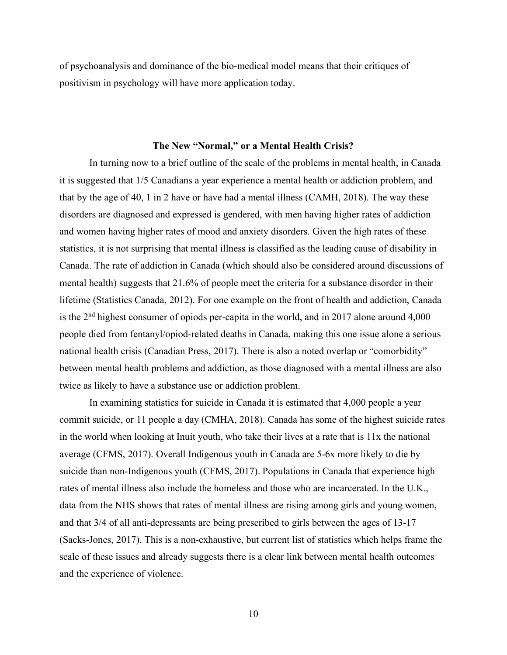of psychoanalysis and dominance of the bio-medical model means that their critiques of positivism in psychology will have more application today.

## **The New "Normal," or a Mental Health Crisis?**

In turning now to a brief outline of the scale of the problems in mental health, in Canada it is suggested that 1/5 Canadians a year experience a mental health or addiction problem, and that by the age of 40, 1 in 2 have or have had a mental illness (CAMH, 2018). The way these disorders are diagnosed and expressed is gendered, with men having higher rates of addiction and women having higher rates of mood and anxiety disorders. Given the high rates of these statistics, it is not surprising that mental illness is classified as the leading cause of disability in Canada. The rate of addiction in Canada (which should also be considered around discussions of mental health) suggests that 21.6% of people meet the criteria for a substance disorder in their lifetime (Statistics Canada, 2012). For one example on the front of health and addiction, Canada is the 2nd highest consumer of opiods per-capita in the world, and in 2017 alone around 4,000 people died from fentanyl/opiod-related deaths in Canada, making this one issue alone a serious national health crisis (Canadian Press, 2017). There is also a noted overlap or "comorbidity" between mental health problems and addiction, as those diagnosed with a mental illness are also twice as likely to have a substance use or addiction problem.

In examining statistics for suicide in Canada it is estimated that 4,000 people a year commit suicide, or 11 people a day (CMHA, 2018). Canada has some of the highest suicide rates in the world when looking at Inuit youth, who take their lives at a rate that is 11x the national average (CFMS, 2017). Overall Indigenous youth in Canada are 5-6x more likely to die by suicide than non-Indigenous youth (CFMS, 2017). Populations in Canada that experience high rates of mental illness also include the homeless and those who are incarcerated. In the U.K., data from the NHS shows that rates of mental illness are rising among girls and young women, and that 3/4 of all anti-depressants are being prescribed to girls between the ages of 13-17 (Sacks-Jones, 2017). This is a non-exhaustive, but current list of statistics which helps frame the scale of these issues and already suggests there is a clear link between mental health outcomes and the experience of violence.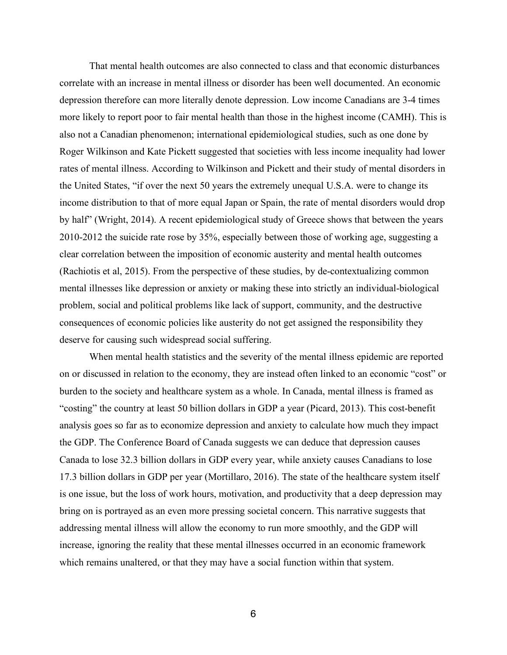That mental health outcomes are also connected to class and that economic disturbances correlate with an increase in mental illness or disorder has been well documented. An economic depression therefore can more literally denote depression. Low income Canadians are 3-4 times more likely to report poor to fair mental health than those in the highest income (CAMH). This is also not a Canadian phenomenon; international epidemiological studies, such as one done by Roger Wilkinson and Kate Pickett suggested that societies with less income inequality had lower rates of mental illness. According to Wilkinson and Pickett and their study of mental disorders in the United States, "if over the next 50 years the extremely unequal U.S.A. were to change its income distribution to that of more equal Japan or Spain, the rate of mental disorders would drop by half" (Wright, 2014). A recent epidemiological study of Greece shows that between the years 2010-2012 the suicide rate rose by 35%, especially between those of working age, suggesting a clear correlation between the imposition of economic austerity and mental health outcomes (Rachiotis et al, 2015). From the perspective of these studies, by de-contextualizing common mental illnesses like depression or anxiety or making these into strictly an individual-biological problem, social and political problems like lack of support, community, and the destructive consequences of economic policies like austerity do not get assigned the responsibility they deserve for causing such widespread social suffering.

When mental health statistics and the severity of the mental illness epidemic are reported on or discussed in relation to the economy, they are instead often linked to an economic "cost" or burden to the society and healthcare system as a whole. In Canada, mental illness is framed as "costing" the country at least 50 billion dollars in GDP a year (Picard, 2013). This cost-benefit analysis goes so far as to economize depression and anxiety to calculate how much they impact the GDP. The Conference Board of Canada suggests we can deduce that depression causes Canada to lose 32.3 billion dollars in GDP every year, while anxiety causes Canadians to lose 17.3 billion dollars in GDP per year (Mortillaro, 2016). The state of the healthcare system itself is one issue, but the loss of work hours, motivation, and productivity that a deep depression may bring on is portrayed as an even more pressing societal concern. This narrative suggests that addressing mental illness will allow the economy to run more smoothly, and the GDP will increase, ignoring the reality that these mental illnesses occurred in an economic framework which remains unaltered, or that they may have a social function within that system.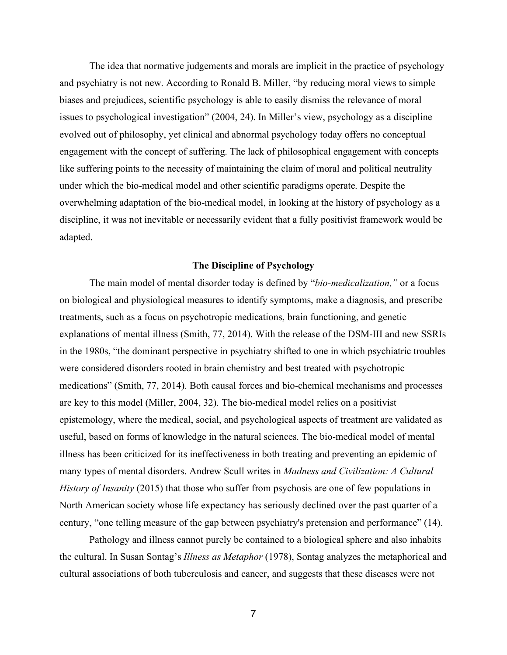The idea that normative judgements and morals are implicit in the practice of psychology and psychiatry is not new. According to Ronald B. Miller, "by reducing moral views to simple biases and prejudices, scientific psychology is able to easily dismiss the relevance of moral issues to psychological investigation" (2004, 24). In Miller's view, psychology as a discipline evolved out of philosophy, yet clinical and abnormal psychology today offers no conceptual engagement with the concept of suffering. The lack of philosophical engagement with concepts like suffering points to the necessity of maintaining the claim of moral and political neutrality under which the bio-medical model and other scientific paradigms operate. Despite the overwhelming adaptation of the bio-medical model, in looking at the history of psychology as a discipline, it was not inevitable or necessarily evident that a fully positivist framework would be adapted.

#### **The Discipline of Psychology**

The main model of mental disorder today is defined by "*bio-medicalization,"* or a focus on biological and physiological measures to identify symptoms, make a diagnosis, and prescribe treatments, such as a focus on psychotropic medications, brain functioning, and genetic explanations of mental illness (Smith, 77, 2014). With the release of the DSM-III and new SSRIs in the 1980s, "the dominant perspective in psychiatry shifted to one in which psychiatric troubles were considered disorders rooted in brain chemistry and best treated with psychotropic medications" (Smith, 77, 2014). Both causal forces and bio-chemical mechanisms and processes are key to this model (Miller, 2004, 32). The bio-medical model relies on a positivist epistemology, where the medical, social, and psychological aspects of treatment are validated as useful, based on forms of knowledge in the natural sciences. The bio-medical model of mental illness has been criticized for its ineffectiveness in both treating and preventing an epidemic of many types of mental disorders. Andrew Scull writes in *Madness and Civilization: A Cultural History of Insanity* (2015) that those who suffer from psychosis are one of few populations in North American society whose life expectancy has seriously declined over the past quarter of a century, "one telling measure of the gap between psychiatry's pretension and performance" (14).

Pathology and illness cannot purely be contained to a biological sphere and also inhabits the cultural. In Susan Sontag's *Illness as Metaphor* (1978), Sontag analyzes the metaphorical and cultural associations of both tuberculosis and cancer, and suggests that these diseases were not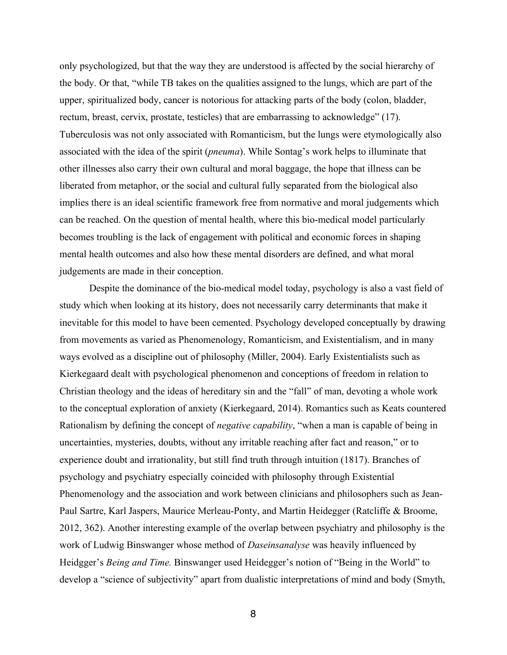only psychologized, but that the way they are understood is affected by the social hierarchy of the body. Or that, "while TB takes on the qualities assigned to the lungs, which are part of the upper, spiritualized body, cancer is notorious for attacking parts of the body (colon, bladder, rectum, breast, cervix, prostate, testicles) that are embarrassing to acknowledge" (17). Tuberculosis was not only associated with Romanticism, but the lungs were etymologically also associated with the idea of the spirit (*pneuma*). While Sontag's work helps to illuminate that other illnesses also carry their own cultural and moral baggage, the hope that illness can be liberated from metaphor, or the social and cultural fully separated from the biological also implies there is an ideal scientific framework free from normative and moral judgements which can be reached. On the question of mental health, where this bio-medical model particularly becomes troubling is the lack of engagement with political and economic forces in shaping mental health outcomes and also how these mental disorders are defined, and what moral judgements are made in their conception.

Despite the dominance of the bio-medical model today, psychology is also a vast field of study which when looking at its history, does not necessarily carry determinants that make it inevitable for this model to have been cemented. Psychology developed conceptually by drawing from movements as varied as Phenomenology, Romanticism, and Existentialism, and in many ways evolved as a discipline out of philosophy (Miller, 2004). Early Existentialists such as Kierkegaard dealt with psychological phenomenon and conceptions of freedom in relation to Christian theology and the ideas of hereditary sin and the "fall" of man, devoting a whole work to the conceptual exploration of anxiety (Kierkegaard, 2014). Romantics such as Keats countered Rationalism by defining the concept of *negative capability*, "when a man is capable of being in uncertainties, mysteries, doubts, without any irritable reaching after fact and reason," or to experience doubt and irrationality, but still find truth through intuition (1817). Branches of psychology and psychiatry especially coincided with philosophy through Existential Phenomenology and the association and work between clinicians and philosophers such as Jean-Paul Sartre, Karl Jaspers, Maurice Merleau-Ponty, and Martin Heidegger (Ratcliffe & Broome, 2012, 362). Another interesting example of the overlap between psychiatry and philosophy is the work of Ludwig Binswanger whose method of *Daseinsanalyse* was heavily influenced by Heidgger's *Being and Time.* Binswanger used Heidegger's notion of "Being in the World" to develop a "science of subjectivity" apart from dualistic interpretations of mind and body (Smyth,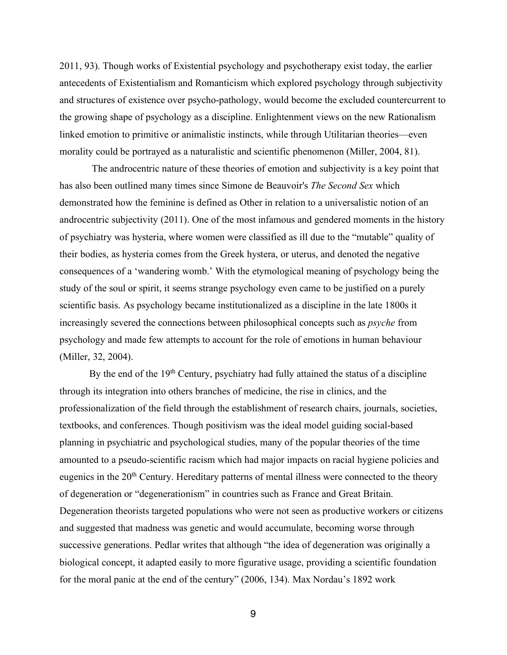2011, 93). Though works of Existential psychology and psychotherapy exist today, the earlier antecedents of Existentialism and Romanticism which explored psychology through subjectivity and structures of existence over psycho-pathology, would become the excluded countercurrent to the growing shape of psychology as a discipline. Enlightenment views on the new Rationalism linked emotion to primitive or animalistic instincts, while through Utilitarian theories—even morality could be portrayed as a naturalistic and scientific phenomenon (Miller, 2004, 81).

The androcentric nature of these theories of emotion and subjectivity is a key point that has also been outlined many times since Simone de Beauvoir's *The Second Sex* which demonstrated how the feminine is defined as Other in relation to a universalistic notion of an androcentric subjectivity (2011). One of the most infamous and gendered moments in the history of psychiatry was hysteria, where women were classified as ill due to the "mutable" quality of their bodies, as hysteria comes from the Greek hystera, or uterus, and denoted the negative consequences of a 'wandering womb.' With the etymological meaning of psychology being the study of the soul or spirit, it seems strange psychology even came to be justified on a purely scientific basis. As psychology became institutionalized as a discipline in the late 1800s it increasingly severed the connections between philosophical concepts such as *psyche* from psychology and made few attempts to account for the role of emotions in human behaviour (Miller, 32, 2004).

By the end of the 19<sup>th</sup> Century, psychiatry had fully attained the status of a discipline through its integration into others branches of medicine, the rise in clinics, and the professionalization of the field through the establishment of research chairs, journals, societies, textbooks, and conferences. Though positivism was the ideal model guiding social-based planning in psychiatric and psychological studies, many of the popular theories of the time amounted to a pseudo-scientific racism which had major impacts on racial hygiene policies and eugenics in the 20<sup>th</sup> Century. Hereditary patterns of mental illness were connected to the theory of degeneration or "degenerationism" in countries such as France and Great Britain. Degeneration theorists targeted populations who were not seen as productive workers or citizens and suggested that madness was genetic and would accumulate, becoming worse through successive generations. Pedlar writes that although "the idea of degeneration was originally a biological concept, it adapted easily to more figurative usage, providing a scientific foundation for the moral panic at the end of the century" (2006, 134). Max Nordau's 1892 work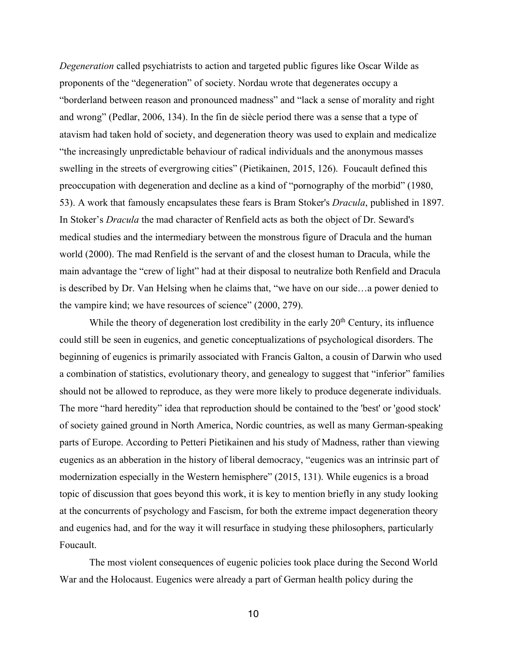*Degeneration* called psychiatrists to action and targeted public figures like Oscar Wilde as proponents of the "degeneration" of society. Nordau wrote that degenerates occupy a "borderland between reason and pronounced madness" and "lack a sense of morality and right and wrong" (Pedlar, 2006, 134). In the fin de siècle period there was a sense that a type of atavism had taken hold of society, and degeneration theory was used to explain and medicalize "the increasingly unpredictable behaviour of radical individuals and the anonymous masses swelling in the streets of evergrowing cities" (Pietikainen, 2015, 126). Foucault defined this preoccupation with degeneration and decline as a kind of "pornography of the morbid" (1980, 53). A work that famously encapsulates these fears is Bram Stoker's *Dracula*, published in 1897. In Stoker's *Dracula* the mad character of Renfield acts as both the object of Dr. Seward's medical studies and the intermediary between the monstrous figure of Dracula and the human world (2000). The mad Renfield is the servant of and the closest human to Dracula, while the main advantage the "crew of light" had at their disposal to neutralize both Renfield and Dracula is described by Dr. Van Helsing when he claims that, "we have on our side…a power denied to the vampire kind; we have resources of science" (2000, 279).

While the theory of degeneration lost credibility in the early  $20<sup>th</sup>$  Century, its influence could still be seen in eugenics, and genetic conceptualizations of psychological disorders. The beginning of eugenics is primarily associated with Francis Galton, a cousin of Darwin who used a combination of statistics, evolutionary theory, and genealogy to suggest that "inferior" families should not be allowed to reproduce, as they were more likely to produce degenerate individuals. The more "hard heredity" idea that reproduction should be contained to the 'best' or 'good stock' of society gained ground in North America, Nordic countries, as well as many German-speaking parts of Europe. According to Petteri Pietikainen and his study of Madness, rather than viewing eugenics as an abberation in the history of liberal democracy, "eugenics was an intrinsic part of modernization especially in the Western hemisphere" (2015, 131). While eugenics is a broad topic of discussion that goes beyond this work, it is key to mention briefly in any study looking at the concurrents of psychology and Fascism, for both the extreme impact degeneration theory and eugenics had, and for the way it will resurface in studying these philosophers, particularly Foucault.

The most violent consequences of eugenic policies took place during the Second World War and the Holocaust. Eugenics were already a part of German health policy during the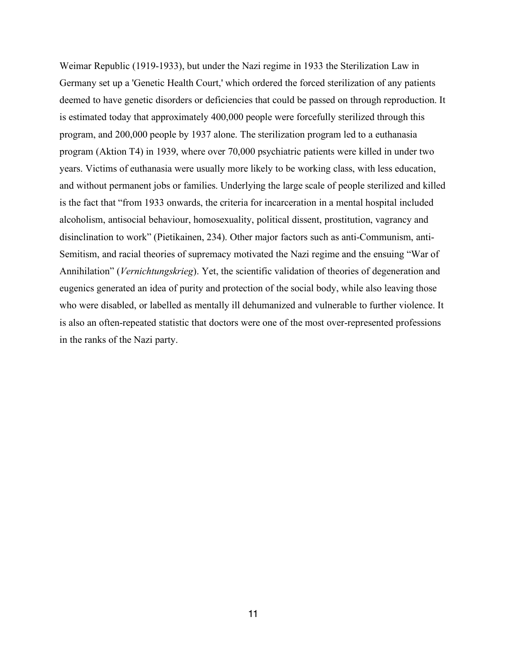Weimar Republic (1919-1933), but under the Nazi regime in 1933 the Sterilization Law in Germany set up a 'Genetic Health Court,' which ordered the forced sterilization of any patients deemed to have genetic disorders or deficiencies that could be passed on through reproduction. It is estimated today that approximately 400,000 people were forcefully sterilized through this program, and 200,000 people by 1937 alone. The sterilization program led to a euthanasia program (Aktion T4) in 1939, where over 70,000 psychiatric patients were killed in under two years. Victims of euthanasia were usually more likely to be working class, with less education, and without permanent jobs or families. Underlying the large scale of people sterilized and killed is the fact that "from 1933 onwards, the criteria for incarceration in a mental hospital included alcoholism, antisocial behaviour, homosexuality, political dissent, prostitution, vagrancy and disinclination to work" (Pietikainen, 234). Other major factors such as anti-Communism, anti-Semitism, and racial theories of supremacy motivated the Nazi regime and the ensuing "War of Annihilation" (*Vernichtungskrieg*). Yet, the scientific validation of theories of degeneration and eugenics generated an idea of purity and protection of the social body, while also leaving those who were disabled, or labelled as mentally ill dehumanized and vulnerable to further violence. It is also an often-repeated statistic that doctors were one of the most over-represented professions in the ranks of the Nazi party.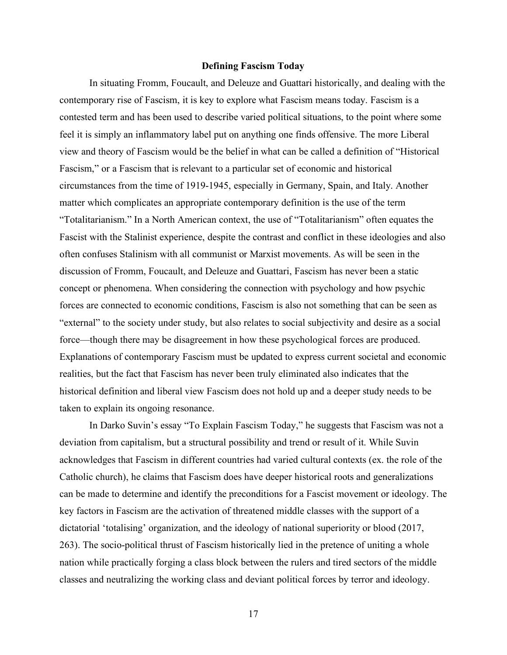#### **Defining Fascism Today**

In situating Fromm, Foucault, and Deleuze and Guattari historically, and dealing with the contemporary rise of Fascism, it is key to explore what Fascism means today. Fascism is a contested term and has been used to describe varied political situations, to the point where some feel it is simply an inflammatory label put on anything one finds offensive. The more Liberal view and theory of Fascism would be the belief in what can be called a definition of "Historical Fascism," or a Fascism that is relevant to a particular set of economic and historical circumstances from the time of 1919-1945, especially in Germany, Spain, and Italy. Another matter which complicates an appropriate contemporary definition is the use of the term "Totalitarianism." In a North American context, the use of "Totalitarianism" often equates the Fascist with the Stalinist experience, despite the contrast and conflict in these ideologies and also often confuses Stalinism with all communist or Marxist movements. As will be seen in the discussion of Fromm, Foucault, and Deleuze and Guattari, Fascism has never been a static concept or phenomena. When considering the connection with psychology and how psychic forces are connected to economic conditions, Fascism is also not something that can be seen as "external" to the society under study, but also relates to social subjectivity and desire as a social force—though there may be disagreement in how these psychological forces are produced. Explanations of contemporary Fascism must be updated to express current societal and economic realities, but the fact that Fascism has never been truly eliminated also indicates that the historical definition and liberal view Fascism does not hold up and a deeper study needs to be taken to explain its ongoing resonance.

In Darko Suvin's essay "To Explain Fascism Today," he suggests that Fascism was not a deviation from capitalism, but a structural possibility and trend or result of it. While Suvin acknowledges that Fascism in different countries had varied cultural contexts (ex. the role of the Catholic church), he claims that Fascism does have deeper historical roots and generalizations can be made to determine and identify the preconditions for a Fascist movement or ideology. The key factors in Fascism are the activation of threatened middle classes with the support of a dictatorial 'totalising' organization, and the ideology of national superiority or blood (2017, 263). The socio-political thrust of Fascism historically lied in the pretence of uniting a whole nation while practically forging a class block between the rulers and tired sectors of the middle classes and neutralizing the working class and deviant political forces by terror and ideology.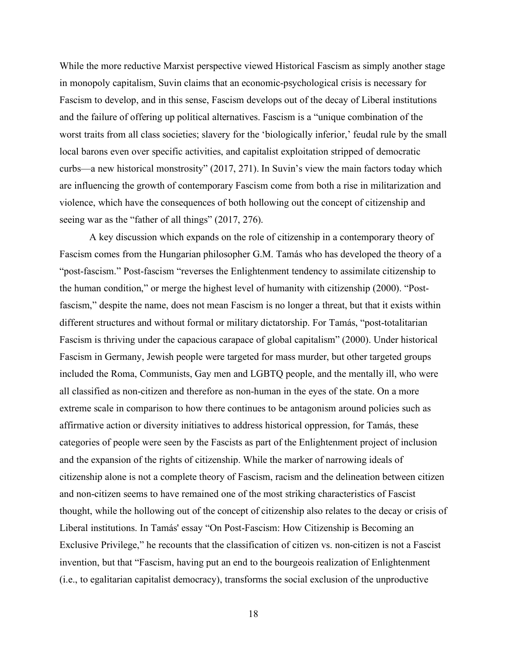While the more reductive Marxist perspective viewed Historical Fascism as simply another stage in monopoly capitalism, Suvin claims that an economic-psychological crisis is necessary for Fascism to develop, and in this sense, Fascism develops out of the decay of Liberal institutions and the failure of offering up political alternatives. Fascism is a "unique combination of the worst traits from all class societies; slavery for the 'biologically inferior,' feudal rule by the small local barons even over specific activities, and capitalist exploitation stripped of democratic curbs—a new historical monstrosity" (2017, 271). In Suvin's view the main factors today which are influencing the growth of contemporary Fascism come from both a rise in militarization and violence, which have the consequences of both hollowing out the concept of citizenship and seeing war as the "father of all things" (2017, 276).

A key discussion which expands on the role of citizenship in a contemporary theory of Fascism comes from the Hungarian philosopher G.M. Tamás who has developed the theory of a "post-fascism." Post-fascism "reverses the Enlightenment tendency to assimilate citizenship to the human condition," or merge the highest level of humanity with citizenship (2000). "Postfascism," despite the name, does not mean Fascism is no longer a threat, but that it exists within different structures and without formal or military dictatorship. For Tamás, "post-totalitarian Fascism is thriving under the capacious carapace of global capitalism" (2000). Under historical Fascism in Germany, Jewish people were targeted for mass murder, but other targeted groups included the Roma, Communists, Gay men and LGBTQ people, and the mentally ill, who were all classified as non-citizen and therefore as non-human in the eyes of the state. On a more extreme scale in comparison to how there continues to be antagonism around policies such as affirmative action or diversity initiatives to address historical oppression, for Tamás, these categories of people were seen by the Fascists as part of the Enlightenment project of inclusion and the expansion of the rights of citizenship. While the marker of narrowing ideals of citizenship alone is not a complete theory of Fascism, racism and the delineation between citizen and non-citizen seems to have remained one of the most striking characteristics of Fascist thought, while the hollowing out of the concept of citizenship also relates to the decay or crisis of Liberal institutions. In Tamás' essay "On Post-Fascism: How Citizenship is Becoming an Exclusive Privilege," he recounts that the classification of citizen vs. non-citizen is not a Fascist invention, but that "Fascism, having put an end to the bourgeois realization of Enlightenment (i.e., to egalitarian capitalist democracy), transforms the social exclusion of the unproductive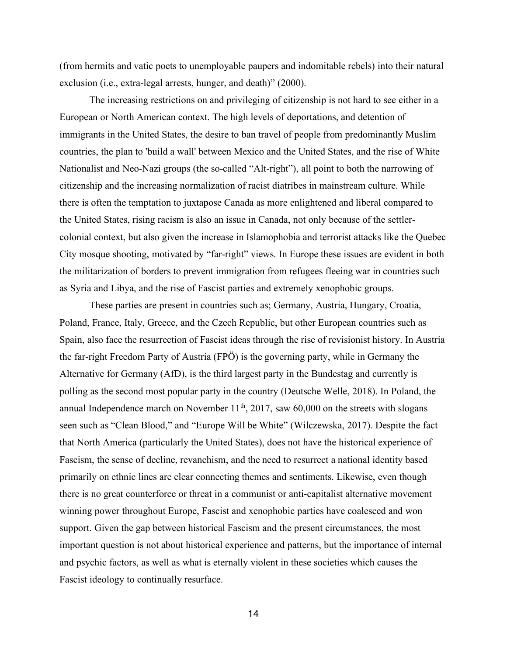(from hermits and vatic poets to unemployable paupers and indomitable rebels) into their natural exclusion (i.e., extra-legal arrests, hunger, and death)" (2000).

The increasing restrictions on and privileging of citizenship is not hard to see either in a European or North American context. The high levels of deportations, and detention of immigrants in the United States, the desire to ban travel of people from predominantly Muslim countries, the plan to 'build a wall' between Mexico and the United States, and the rise of White Nationalist and Neo-Nazi groups (the so-called "Alt-right"), all point to both the narrowing of citizenship and the increasing normalization of racist diatribes in mainstream culture. While there is often the temptation to juxtapose Canada as more enlightened and liberal compared to the United States, rising racism is also an issue in Canada, not only because of the settlercolonial context, but also given the increase in Islamophobia and terrorist attacks like the Quebec City mosque shooting, motivated by "far-right" views. In Europe these issues are evident in both the militarization of borders to prevent immigration from refugees fleeing war in countries such as Syria and Libya, and the rise of Fascist parties and extremely xenophobic groups.

These parties are present in countries such as; Germany, Austria, Hungary, Croatia, Poland, France, Italy, Greece, and the Czech Republic, but other European countries such as Spain, also face the resurrection of Fascist ideas through the rise of revisionist history. In Austria the far-right Freedom Party of Austria (FPÖ) is the governing party, while in Germany the Alternative for Germany (AfD), is the third largest party in the Bundestag and currently is polling as the second most popular party in the country (Deutsche Welle, 2018). In Poland, the annual Independence march on November  $11<sup>th</sup>$ ,  $2017$ , saw  $60,000$  on the streets with slogans seen such as "Clean Blood," and "Europe Will be White" (Wilczewska, 2017). Despite the fact that North America (particularly the United States), does not have the historical experience of Fascism, the sense of decline, revanchism, and the need to resurrect a national identity based primarily on ethnic lines are clear connecting themes and sentiments. Likewise, even though there is no great counterforce or threat in a communist or anti-capitalist alternative movement winning power throughout Europe, Fascist and xenophobic parties have coalesced and won support. Given the gap between historical Fascism and the present circumstances, the most important question is not about historical experience and patterns, but the importance of internal and psychic factors, as well as what is eternally violent in these societies which causes the Fascist ideology to continually resurface.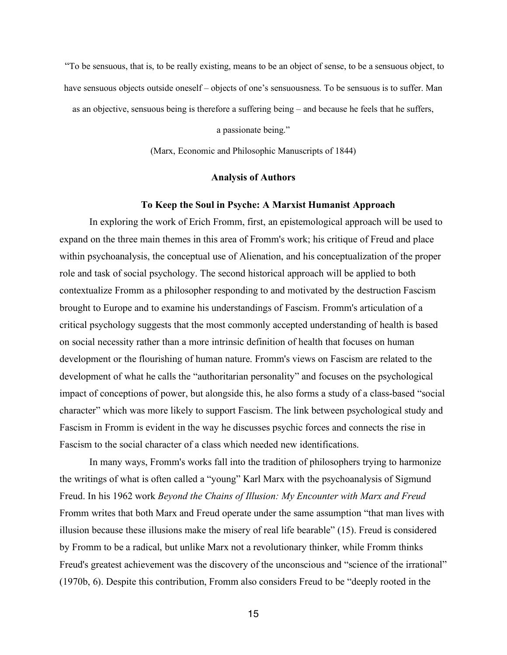"To be sensuous, that is, to be really existing, means to be an object of sense, to be a sensuous object, to have sensuous objects outside oneself – objects of one's sensuousness. To be sensuous is to suffer. Man

as an objective, sensuous being is therefore a suffering being – and because he feels that he suffers,

a passionate being."

(Marx, Economic and Philosophic Manuscripts of 1844)

## **Analysis of Authors**

#### **To Keep the Soul in Psyche: A Marxist Humanist Approach**

In exploring the work of Erich Fromm, first, an epistemological approach will be used to expand on the three main themes in this area of Fromm's work; his critique of Freud and place within psychoanalysis, the conceptual use of Alienation, and his conceptualization of the proper role and task of social psychology. The second historical approach will be applied to both contextualize Fromm as a philosopher responding to and motivated by the destruction Fascism brought to Europe and to examine his understandings of Fascism. Fromm's articulation of a critical psychology suggests that the most commonly accepted understanding of health is based on social necessity rather than a more intrinsic definition of health that focuses on human development or the flourishing of human nature. Fromm's views on Fascism are related to the development of what he calls the "authoritarian personality" and focuses on the psychological impact of conceptions of power, but alongside this, he also forms a study of a class-based "social character" which was more likely to support Fascism. The link between psychological study and Fascism in Fromm is evident in the way he discusses psychic forces and connects the rise in Fascism to the social character of a class which needed new identifications.

In many ways, Fromm's works fall into the tradition of philosophers trying to harmonize the writings of what is often called a "young" Karl Marx with the psychoanalysis of Sigmund Freud. In his 1962 work *Beyond the Chains of Illusion: My Encounter with Marx and Freud*  Fromm writes that both Marx and Freud operate under the same assumption "that man lives with illusion because these illusions make the misery of real life bearable" (15). Freud is considered by Fromm to be a radical, but unlike Marx not a revolutionary thinker, while Fromm thinks Freud's greatest achievement was the discovery of the unconscious and "science of the irrational" (1970b, 6). Despite this contribution, Fromm also considers Freud to be "deeply rooted in the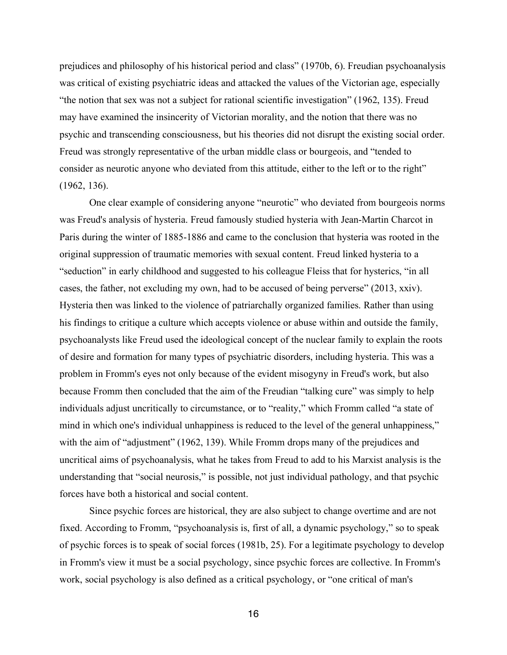prejudices and philosophy of his historical period and class" (1970b, 6). Freudian psychoanalysis was critical of existing psychiatric ideas and attacked the values of the Victorian age, especially "the notion that sex was not a subject for rational scientific investigation" (1962, 135). Freud may have examined the insincerity of Victorian morality, and the notion that there was no psychic and transcending consciousness, but his theories did not disrupt the existing social order. Freud was strongly representative of the urban middle class or bourgeois, and "tended to consider as neurotic anyone who deviated from this attitude, either to the left or to the right" (1962, 136).

One clear example of considering anyone "neurotic" who deviated from bourgeois norms was Freud's analysis of hysteria. Freud famously studied hysteria with Jean-Martin Charcot in Paris during the winter of 1885-1886 and came to the conclusion that hysteria was rooted in the original suppression of traumatic memories with sexual content. Freud linked hysteria to a "seduction" in early childhood and suggested to his colleague Fleiss that for hysterics, "in all cases, the father, not excluding my own, had to be accused of being perverse" (2013, xxiv). Hysteria then was linked to the violence of patriarchally organized families. Rather than using his findings to critique a culture which accepts violence or abuse within and outside the family, psychoanalysts like Freud used the ideological concept of the nuclear family to explain the roots of desire and formation for many types of psychiatric disorders, including hysteria. This was a problem in Fromm's eyes not only because of the evident misogyny in Freud's work, but also because Fromm then concluded that the aim of the Freudian "talking cure" was simply to help individuals adjust uncritically to circumstance, or to "reality," which Fromm called "a state of mind in which one's individual unhappiness is reduced to the level of the general unhappiness," with the aim of "adjustment" (1962, 139). While Fromm drops many of the prejudices and uncritical aims of psychoanalysis, what he takes from Freud to add to his Marxist analysis is the understanding that "social neurosis," is possible, not just individual pathology, and that psychic forces have both a historical and social content.

Since psychic forces are historical, they are also subject to change overtime and are not fixed. According to Fromm, "psychoanalysis is, first of all, a dynamic psychology," so to speak of psychic forces is to speak of social forces (1981b, 25). For a legitimate psychology to develop in Fromm's view it must be a social psychology, since psychic forces are collective. In Fromm's work, social psychology is also defined as a critical psychology, or "one critical of man's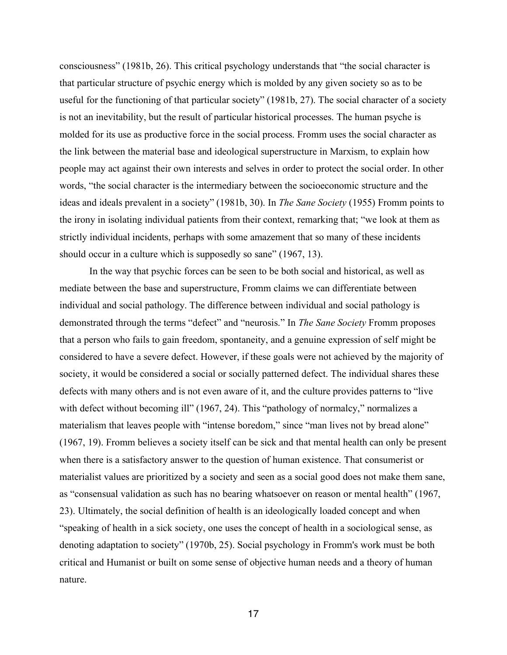consciousness" (1981b, 26). This critical psychology understands that "the social character is that particular structure of psychic energy which is molded by any given society so as to be useful for the functioning of that particular society" (1981b, 27). The social character of a society is not an inevitability, but the result of particular historical processes. The human psyche is molded for its use as productive force in the social process. Fromm uses the social character as the link between the material base and ideological superstructure in Marxism, to explain how people may act against their own interests and selves in order to protect the social order. In other words, "the social character is the intermediary between the socioeconomic structure and the ideas and ideals prevalent in a society" (1981b, 30). In *The Sane Society* (1955) Fromm points to the irony in isolating individual patients from their context, remarking that; "we look at them as strictly individual incidents, perhaps with some amazement that so many of these incidents should occur in a culture which is supposedly so sane" (1967, 13).

In the way that psychic forces can be seen to be both social and historical, as well as mediate between the base and superstructure, Fromm claims we can differentiate between individual and social pathology. The difference between individual and social pathology is demonstrated through the terms "defect" and "neurosis." In *The Sane Society* Fromm proposes that a person who fails to gain freedom, spontaneity, and a genuine expression of self might be considered to have a severe defect. However, if these goals were not achieved by the majority of society, it would be considered a social or socially patterned defect. The individual shares these defects with many others and is not even aware of it, and the culture provides patterns to "live with defect without becoming ill" (1967, 24). This "pathology of normalcy," normalizes a materialism that leaves people with "intense boredom," since "man lives not by bread alone" (1967, 19). Fromm believes a society itself can be sick and that mental health can only be present when there is a satisfactory answer to the question of human existence. That consumerist or materialist values are prioritized by a society and seen as a social good does not make them sane, as "consensual validation as such has no bearing whatsoever on reason or mental health" (1967, 23). Ultimately, the social definition of health is an ideologically loaded concept and when "speaking of health in a sick society, one uses the concept of health in a sociological sense, as denoting adaptation to society" (1970b, 25). Social psychology in Fromm's work must be both critical and Humanist or built on some sense of objective human needs and a theory of human nature.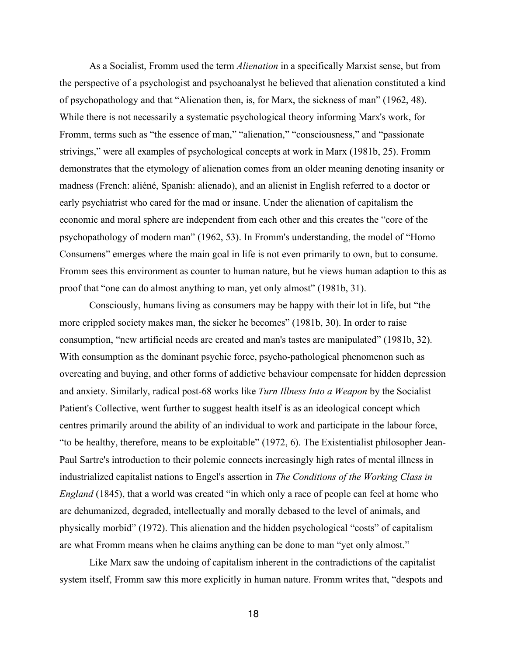As a Socialist, Fromm used the term *Alienation* in a specifically Marxist sense, but from the perspective of a psychologist and psychoanalyst he believed that alienation constituted a kind of psychopathology and that "Alienation then, is, for Marx, the sickness of man" (1962, 48). While there is not necessarily a systematic psychological theory informing Marx's work, for Fromm, terms such as "the essence of man," "alienation," "consciousness," and "passionate strivings," were all examples of psychological concepts at work in Marx (1981b, 25). Fromm demonstrates that the etymology of alienation comes from an older meaning denoting insanity or madness (French: aliéné, Spanish: alienado), and an alienist in English referred to a doctor or early psychiatrist who cared for the mad or insane. Under the alienation of capitalism the economic and moral sphere are independent from each other and this creates the "core of the psychopathology of modern man" (1962, 53). In Fromm's understanding, the model of "Homo Consumens" emerges where the main goal in life is not even primarily to own, but to consume. Fromm sees this environment as counter to human nature, but he views human adaption to this as proof that "one can do almost anything to man, yet only almost" (1981b, 31).

Consciously, humans living as consumers may be happy with their lot in life, but "the more crippled society makes man, the sicker he becomes" (1981b, 30). In order to raise consumption, "new artificial needs are created and man's tastes are manipulated" (1981b, 32). With consumption as the dominant psychic force, psycho-pathological phenomenon such as overeating and buying, and other forms of addictive behaviour compensate for hidden depression and anxiety. Similarly, radical post-68 works like *Turn Illness Into a Weapon* by the Socialist Patient's Collective, went further to suggest health itself is as an ideological concept which centres primarily around the ability of an individual to work and participate in the labour force, "to be healthy, therefore, means to be exploitable" (1972, 6). The Existentialist philosopher Jean-Paul Sartre's introduction to their polemic connects increasingly high rates of mental illness in industrialized capitalist nations to Engel's assertion in *The Conditions of the Working Class in England* (1845), that a world was created "in which only a race of people can feel at home who are dehumanized, degraded, intellectually and morally debased to the level of animals, and physically morbid" (1972). This alienation and the hidden psychological "costs" of capitalism are what Fromm means when he claims anything can be done to man "yet only almost."

Like Marx saw the undoing of capitalism inherent in the contradictions of the capitalist system itself, Fromm saw this more explicitly in human nature. Fromm writes that, "despots and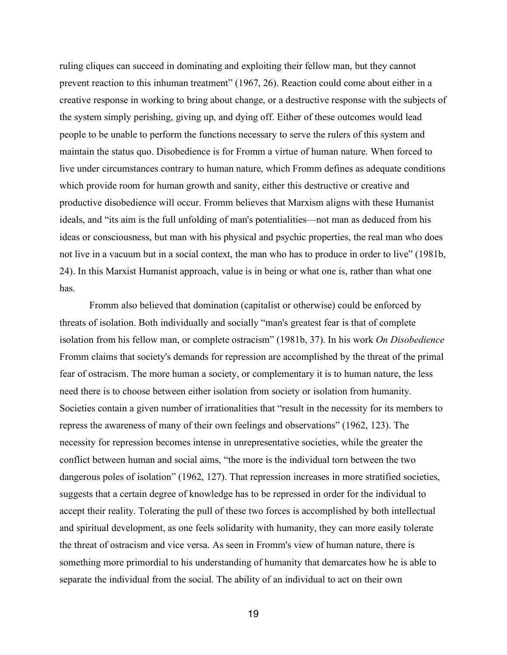ruling cliques can succeed in dominating and exploiting their fellow man, but they cannot prevent reaction to this inhuman treatment" (1967, 26). Reaction could come about either in a creative response in working to bring about change, or a destructive response with the subjects of the system simply perishing, giving up, and dying off. Either of these outcomes would lead people to be unable to perform the functions necessary to serve the rulers of this system and maintain the status quo. Disobedience is for Fromm a virtue of human nature. When forced to live under circumstances contrary to human nature, which Fromm defines as adequate conditions which provide room for human growth and sanity, either this destructive or creative and productive disobedience will occur. Fromm believes that Marxism aligns with these Humanist ideals, and "its aim is the full unfolding of man's potentialities—not man as deduced from his ideas or consciousness, but man with his physical and psychic properties, the real man who does not live in a vacuum but in a social context, the man who has to produce in order to live" (1981b, 24). In this Marxist Humanist approach, value is in being or what one is, rather than what one has.

Fromm also believed that domination (capitalist or otherwise) could be enforced by threats of isolation. Both individually and socially "man's greatest fear is that of complete isolation from his fellow man, or complete ostracism" (1981b, 37). In his work *On Disobedience* Fromm claims that society's demands for repression are accomplished by the threat of the primal fear of ostracism. The more human a society, or complementary it is to human nature, the less need there is to choose between either isolation from society or isolation from humanity. Societies contain a given number of irrationalities that "result in the necessity for its members to repress the awareness of many of their own feelings and observations" (1962, 123). The necessity for repression becomes intense in unrepresentative societies, while the greater the conflict between human and social aims, "the more is the individual torn between the two dangerous poles of isolation" (1962, 127). That repression increases in more stratified societies, suggests that a certain degree of knowledge has to be repressed in order for the individual to accept their reality. Tolerating the pull of these two forces is accomplished by both intellectual and spiritual development, as one feels solidarity with humanity, they can more easily tolerate the threat of ostracism and vice versa. As seen in Fromm's view of human nature, there is something more primordial to his understanding of humanity that demarcates how he is able to separate the individual from the social. The ability of an individual to act on their own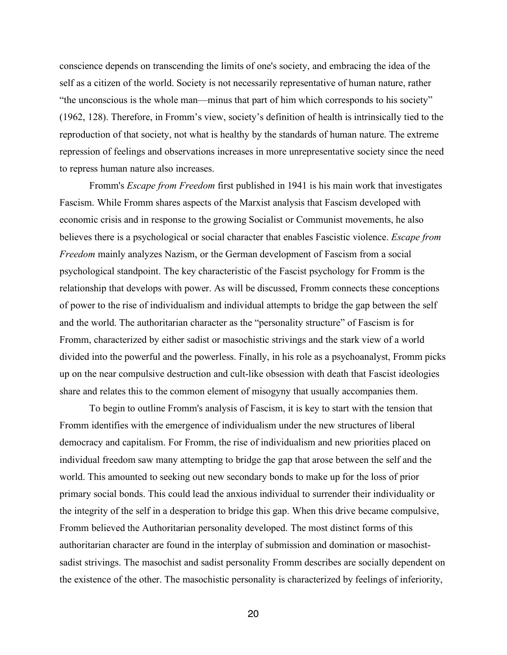conscience depends on transcending the limits of one's society, and embracing the idea of the self as a citizen of the world. Society is not necessarily representative of human nature, rather "the unconscious is the whole man—minus that part of him which corresponds to his society" (1962, 128). Therefore, in Fromm's view, society's definition of health is intrinsically tied to the reproduction of that society, not what is healthy by the standards of human nature. The extreme repression of feelings and observations increases in more unrepresentative society since the need to repress human nature also increases.

Fromm's *Escape from Freedom* first published in 1941 is his main work that investigates Fascism. While Fromm shares aspects of the Marxist analysis that Fascism developed with economic crisis and in response to the growing Socialist or Communist movements, he also believes there is a psychological or social character that enables Fascistic violence. *Escape from Freedom* mainly analyzes Nazism, or the German development of Fascism from a social psychological standpoint. The key characteristic of the Fascist psychology for Fromm is the relationship that develops with power. As will be discussed, Fromm connects these conceptions of power to the rise of individualism and individual attempts to bridge the gap between the self and the world. The authoritarian character as the "personality structure" of Fascism is for Fromm, characterized by either sadist or masochistic strivings and the stark view of a world divided into the powerful and the powerless. Finally, in his role as a psychoanalyst, Fromm picks up on the near compulsive destruction and cult-like obsession with death that Fascist ideologies share and relates this to the common element of misogyny that usually accompanies them.

To begin to outline Fromm's analysis of Fascism, it is key to start with the tension that Fromm identifies with the emergence of individualism under the new structures of liberal democracy and capitalism. For Fromm, the rise of individualism and new priorities placed on individual freedom saw many attempting to bridge the gap that arose between the self and the world. This amounted to seeking out new secondary bonds to make up for the loss of prior primary social bonds. This could lead the anxious individual to surrender their individuality or the integrity of the self in a desperation to bridge this gap. When this drive became compulsive, Fromm believed the Authoritarian personality developed. The most distinct forms of this authoritarian character are found in the interplay of submission and domination or masochistsadist strivings. The masochist and sadist personality Fromm describes are socially dependent on the existence of the other. The masochistic personality is characterized by feelings of inferiority,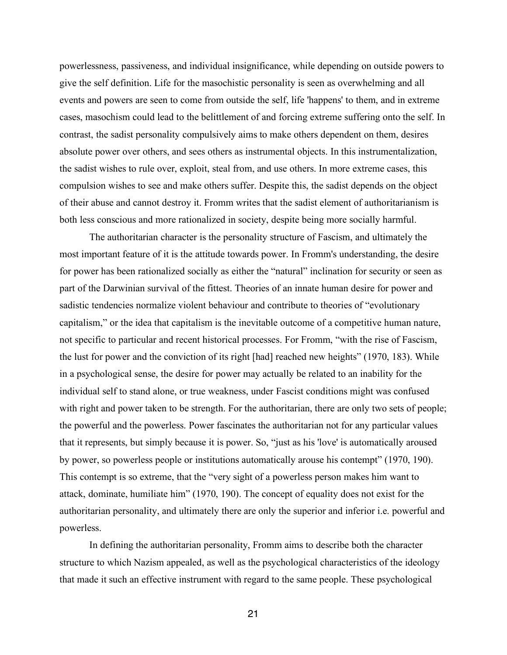powerlessness, passiveness, and individual insignificance, while depending on outside powers to give the self definition. Life for the masochistic personality is seen as overwhelming and all events and powers are seen to come from outside the self, life 'happens' to them, and in extreme cases, masochism could lead to the belittlement of and forcing extreme suffering onto the self. In contrast, the sadist personality compulsively aims to make others dependent on them, desires absolute power over others, and sees others as instrumental objects. In this instrumentalization, the sadist wishes to rule over, exploit, steal from, and use others. In more extreme cases, this compulsion wishes to see and make others suffer. Despite this, the sadist depends on the object of their abuse and cannot destroy it. Fromm writes that the sadist element of authoritarianism is both less conscious and more rationalized in society, despite being more socially harmful.

The authoritarian character is the personality structure of Fascism, and ultimately the most important feature of it is the attitude towards power. In Fromm's understanding, the desire for power has been rationalized socially as either the "natural" inclination for security or seen as part of the Darwinian survival of the fittest. Theories of an innate human desire for power and sadistic tendencies normalize violent behaviour and contribute to theories of "evolutionary capitalism," or the idea that capitalism is the inevitable outcome of a competitive human nature, not specific to particular and recent historical processes. For Fromm, "with the rise of Fascism, the lust for power and the conviction of its right [had] reached new heights" (1970, 183). While in a psychological sense, the desire for power may actually be related to an inability for the individual self to stand alone, or true weakness, under Fascist conditions might was confused with right and power taken to be strength. For the authoritarian, there are only two sets of people; the powerful and the powerless. Power fascinates the authoritarian not for any particular values that it represents, but simply because it is power. So, "just as his 'love' is automatically aroused by power, so powerless people or institutions automatically arouse his contempt" (1970, 190). This contempt is so extreme, that the "very sight of a powerless person makes him want to attack, dominate, humiliate him" (1970, 190). The concept of equality does not exist for the authoritarian personality, and ultimately there are only the superior and inferior i.e. powerful and powerless.

In defining the authoritarian personality, Fromm aims to describe both the character structure to which Nazism appealed, as well as the psychological characteristics of the ideology that made it such an effective instrument with regard to the same people. These psychological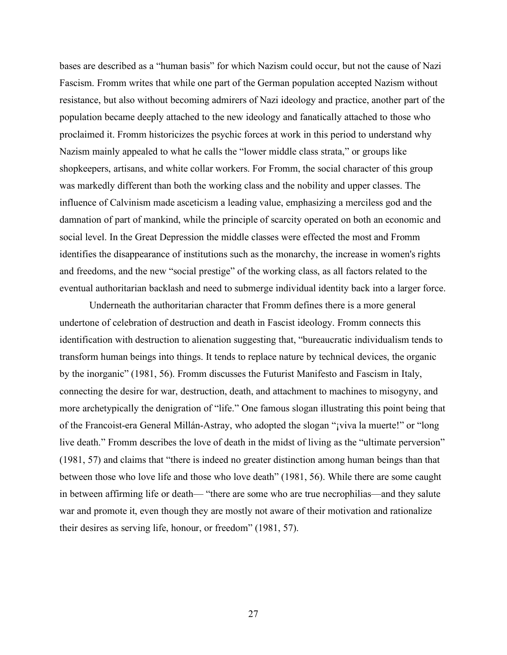bases are described as a "human basis" for which Nazism could occur, but not the cause of Nazi Fascism. Fromm writes that while one part of the German population accepted Nazism without resistance, but also without becoming admirers of Nazi ideology and practice, another part of the population became deeply attached to the new ideology and fanatically attached to those who proclaimed it. Fromm historicizes the psychic forces at work in this period to understand why Nazism mainly appealed to what he calls the "lower middle class strata," or groups like shopkeepers, artisans, and white collar workers. For Fromm, the social character of this group was markedly different than both the working class and the nobility and upper classes. The influence of Calvinism made asceticism a leading value, emphasizing a merciless god and the damnation of part of mankind, while the principle of scarcity operated on both an economic and social level. In the Great Depression the middle classes were effected the most and Fromm identifies the disappearance of institutions such as the monarchy, the increase in women's rights and freedoms, and the new "social prestige" of the working class, as all factors related to the eventual authoritarian backlash and need to submerge individual identity back into a larger force.

Underneath the authoritarian character that Fromm defines there is a more general undertone of celebration of destruction and death in Fascist ideology. Fromm connects this identification with destruction to alienation suggesting that, "bureaucratic individualism tends to transform human beings into things. It tends to replace nature by technical devices, the organic by the inorganic" (1981, 56). Fromm discusses the Futurist Manifesto and Fascism in Italy, connecting the desire for war, destruction, death, and attachment to machines to misogyny, and more archetypically the denigration of "life." One famous slogan illustrating this point being that of the Francoist-era General Millán-Astray, who adopted the slogan "¡viva la muerte!" or "long live death." Fromm describes the love of death in the midst of living as the "ultimate perversion" (1981, 57) and claims that "there is indeed no greater distinction among human beings than that between those who love life and those who love death" (1981, 56). While there are some caught in between affirming life or death— "there are some who are true necrophilias—and they salute war and promote it, even though they are mostly not aware of their motivation and rationalize their desires as serving life, honour, or freedom" (1981, 57).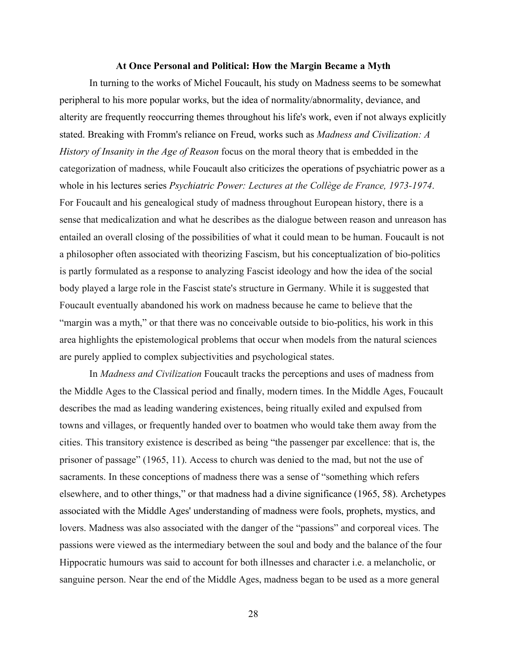#### **At Once Personal and Political: How the Margin Became a Myth**

In turning to the works of Michel Foucault, his study on Madness seems to be somewhat peripheral to his more popular works, but the idea of normality/abnormality, deviance, and alterity are frequently reoccurring themes throughout his life's work, even if not always explicitly stated. Breaking with Fromm's reliance on Freud, works such as *Madness and Civilization: A History of Insanity in the Age of Reason* focus on the moral theory that is embedded in the categorization of madness, while Foucault also criticizes the operations of psychiatric power as a whole in his lectures series *Psychiatric Power: Lectures at the Collège de France, 1973-1974*. For Foucault and his genealogical study of madness throughout European history, there is a sense that medicalization and what he describes as the dialogue between reason and unreason has entailed an overall closing of the possibilities of what it could mean to be human. Foucault is not a philosopher often associated with theorizing Fascism, but his conceptualization of bio-politics is partly formulated as a response to analyzing Fascist ideology and how the idea of the social body played a large role in the Fascist state's structure in Germany. While it is suggested that Foucault eventually abandoned his work on madness because he came to believe that the "margin was a myth," or that there was no conceivable outside to bio-politics, his work in this area highlights the epistemological problems that occur when models from the natural sciences are purely applied to complex subjectivities and psychological states.

In *Madness and Civilization* Foucault tracks the perceptions and uses of madness from the Middle Ages to the Classical period and finally, modern times. In the Middle Ages, Foucault describes the mad as leading wandering existences, being ritually exiled and expulsed from towns and villages, or frequently handed over to boatmen who would take them away from the cities. This transitory existence is described as being "the passenger par excellence: that is, the prisoner of passage" (1965, 11). Access to church was denied to the mad, but not the use of sacraments. In these conceptions of madness there was a sense of "something which refers elsewhere, and to other things," or that madness had a divine significance (1965, 58). Archetypes associated with the Middle Ages' understanding of madness were fools, prophets, mystics, and lovers. Madness was also associated with the danger of the "passions" and corporeal vices. The passions were viewed as the intermediary between the soul and body and the balance of the four Hippocratic humours was said to account for both illnesses and character i.e. a melancholic, or sanguine person. Near the end of the Middle Ages, madness began to be used as a more general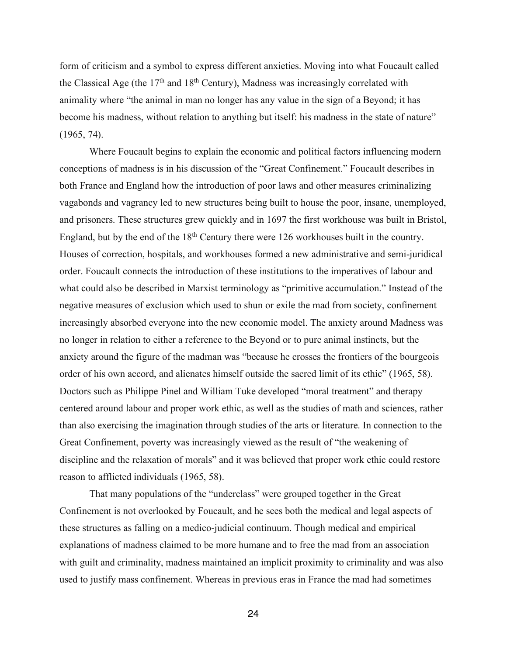form of criticism and a symbol to express different anxieties. Moving into what Foucault called the Classical Age (the  $17<sup>th</sup>$  and  $18<sup>th</sup>$  Century), Madness was increasingly correlated with animality where "the animal in man no longer has any value in the sign of a Beyond; it has become his madness, without relation to anything but itself: his madness in the state of nature" (1965, 74).

Where Foucault begins to explain the economic and political factors influencing modern conceptions of madness is in his discussion of the "Great Confinement." Foucault describes in both France and England how the introduction of poor laws and other measures criminalizing vagabonds and vagrancy led to new structures being built to house the poor, insane, unemployed, and prisoners. These structures grew quickly and in 1697 the first workhouse was built in Bristol, England, but by the end of the 18<sup>th</sup> Century there were 126 workhouses built in the country. Houses of correction, hospitals, and workhouses formed a new administrative and semi-juridical order. Foucault connects the introduction of these institutions to the imperatives of labour and what could also be described in Marxist terminology as "primitive accumulation." Instead of the negative measures of exclusion which used to shun or exile the mad from society, confinement increasingly absorbed everyone into the new economic model. The anxiety around Madness was no longer in relation to either a reference to the Beyond or to pure animal instincts, but the anxiety around the figure of the madman was "because he crosses the frontiers of the bourgeois order of his own accord, and alienates himself outside the sacred limit of its ethic" (1965, 58). Doctors such as Philippe Pinel and William Tuke developed "moral treatment" and therapy centered around labour and proper work ethic, as well as the studies of math and sciences, rather than also exercising the imagination through studies of the arts or literature. In connection to the Great Confinement, poverty was increasingly viewed as the result of "the weakening of discipline and the relaxation of morals" and it was believed that proper work ethic could restore reason to afflicted individuals (1965, 58).

That many populations of the "underclass" were grouped together in the Great Confinement is not overlooked by Foucault, and he sees both the medical and legal aspects of these structures as falling on a medico-judicial continuum. Though medical and empirical explanations of madness claimed to be more humane and to free the mad from an association with guilt and criminality, madness maintained an implicit proximity to criminality and was also used to justify mass confinement. Whereas in previous eras in France the mad had sometimes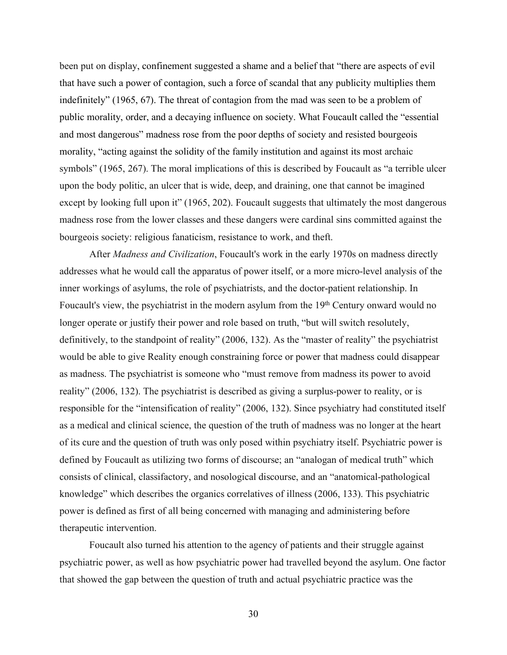been put on display, confinement suggested a shame and a belief that "there are aspects of evil that have such a power of contagion, such a force of scandal that any publicity multiplies them indefinitely" (1965, 67). The threat of contagion from the mad was seen to be a problem of public morality, order, and a decaying influence on society. What Foucault called the "essential and most dangerous" madness rose from the poor depths of society and resisted bourgeois morality, "acting against the solidity of the family institution and against its most archaic symbols" (1965, 267). The moral implications of this is described by Foucault as "a terrible ulcer upon the body politic, an ulcer that is wide, deep, and draining, one that cannot be imagined except by looking full upon it" (1965, 202). Foucault suggests that ultimately the most dangerous madness rose from the lower classes and these dangers were cardinal sins committed against the bourgeois society: religious fanaticism, resistance to work, and theft.

After *Madness and Civilization*, Foucault's work in the early 1970s on madness directly addresses what he would call the apparatus of power itself, or a more micro-level analysis of the inner workings of asylums, the role of psychiatrists, and the doctor-patient relationship. In Foucault's view, the psychiatrist in the modern asylum from the 19<sup>th</sup> Century onward would no longer operate or justify their power and role based on truth, "but will switch resolutely, definitively, to the standpoint of reality" (2006, 132). As the "master of reality" the psychiatrist would be able to give Reality enough constraining force or power that madness could disappear as madness. The psychiatrist is someone who "must remove from madness its power to avoid reality" (2006, 132). The psychiatrist is described as giving a surplus-power to reality, or is responsible for the "intensification of reality" (2006, 132). Since psychiatry had constituted itself as a medical and clinical science, the question of the truth of madness was no longer at the heart of its cure and the question of truth was only posed within psychiatry itself. Psychiatric power is defined by Foucault as utilizing two forms of discourse; an "analogan of medical truth" which consists of clinical, classifactory, and nosological discourse, and an "anatomical-pathological knowledge" which describes the organics correlatives of illness (2006, 133). This psychiatric power is defined as first of all being concerned with managing and administering before therapeutic intervention.

Foucault also turned his attention to the agency of patients and their struggle against psychiatric power, as well as how psychiatric power had travelled beyond the asylum. One factor that showed the gap between the question of truth and actual psychiatric practice was the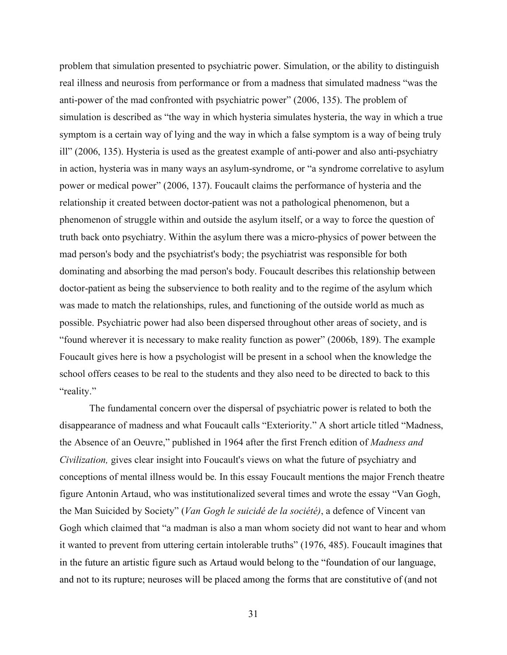problem that simulation presented to psychiatric power. Simulation, or the ability to distinguish real illness and neurosis from performance or from a madness that simulated madness "was the anti-power of the mad confronted with psychiatric power" (2006, 135). The problem of simulation is described as "the way in which hysteria simulates hysteria, the way in which a true symptom is a certain way of lying and the way in which a false symptom is a way of being truly ill" (2006, 135). Hysteria is used as the greatest example of anti-power and also anti-psychiatry in action, hysteria was in many ways an asylum-syndrome, or "a syndrome correlative to asylum power or medical power" (2006, 137). Foucault claims the performance of hysteria and the relationship it created between doctor-patient was not a pathological phenomenon, but a phenomenon of struggle within and outside the asylum itself, or a way to force the question of truth back onto psychiatry. Within the asylum there was a micro-physics of power between the mad person's body and the psychiatrist's body; the psychiatrist was responsible for both dominating and absorbing the mad person's body. Foucault describes this relationship between doctor-patient as being the subservience to both reality and to the regime of the asylum which was made to match the relationships, rules, and functioning of the outside world as much as possible. Psychiatric power had also been dispersed throughout other areas of society, and is "found wherever it is necessary to make reality function as power" (2006b, 189). The example Foucault gives here is how a psychologist will be present in a school when the knowledge the school offers ceases to be real to the students and they also need to be directed to back to this "reality."

The fundamental concern over the dispersal of psychiatric power is related to both the disappearance of madness and what Foucault calls "Exteriority." A short article titled "Madness, the Absence of an Oeuvre," published in 1964 after the first French edition of *Madness and Civilization,* gives clear insight into Foucault's views on what the future of psychiatry and conceptions of mental illness would be. In this essay Foucault mentions the major French theatre figure Antonin Artaud, who was institutionalized several times and wrote the essay "Van Gogh, the Man Suicided by Society" (*Van Gogh le suicidé de la société)*, a defence of Vincent van Gogh which claimed that "a madman is also a man whom society did not want to hear and whom it wanted to prevent from uttering certain intolerable truths" (1976, 485). Foucault imagines that in the future an artistic figure such as Artaud would belong to the "foundation of our language, and not to its rupture; neuroses will be placed among the forms that are constitutive of (and not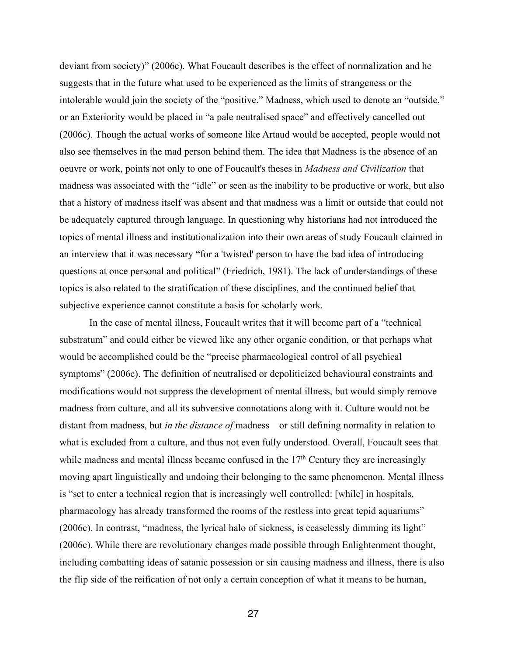deviant from society)" (2006c). What Foucault describes is the effect of normalization and he suggests that in the future what used to be experienced as the limits of strangeness or the intolerable would join the society of the "positive." Madness, which used to denote an "outside," or an Exteriority would be placed in "a pale neutralised space" and effectively cancelled out (2006c). Though the actual works of someone like Artaud would be accepted, people would not also see themselves in the mad person behind them. The idea that Madness is the absence of an oeuvre or work, points not only to one of Foucault's theses in *Madness and Civilization* that madness was associated with the "idle" or seen as the inability to be productive or work, but also that a history of madness itself was absent and that madness was a limit or outside that could not be adequately captured through language. In questioning why historians had not introduced the topics of mental illness and institutionalization into their own areas of study Foucault claimed in an interview that it was necessary "for a 'twisted' person to have the bad idea of introducing questions at once personal and political" (Friedrich, 1981). The lack of understandings of these topics is also related to the stratification of these disciplines, and the continued belief that subjective experience cannot constitute a basis for scholarly work.

In the case of mental illness, Foucault writes that it will become part of a "technical substratum" and could either be viewed like any other organic condition, or that perhaps what would be accomplished could be the "precise pharmacological control of all psychical symptoms" (2006c). The definition of neutralised or depoliticized behavioural constraints and modifications would not suppress the development of mental illness, but would simply remove madness from culture, and all its subversive connotations along with it. Culture would not be distant from madness, but *in the distance of* madness—or still defining normality in relation to what is excluded from a culture, and thus not even fully understood. Overall, Foucault sees that while madness and mental illness became confused in the  $17<sup>th</sup>$  Century they are increasingly moving apart linguistically and undoing their belonging to the same phenomenon. Mental illness is "set to enter a technical region that is increasingly well controlled: [while] in hospitals, pharmacology has already transformed the rooms of the restless into great tepid aquariums" (2006c). In contrast, "madness, the lyrical halo of sickness, is ceaselessly dimming its light" (2006c). While there are revolutionary changes made possible through Enlightenment thought, including combatting ideas of satanic possession or sin causing madness and illness, there is also the flip side of the reification of not only a certain conception of what it means to be human,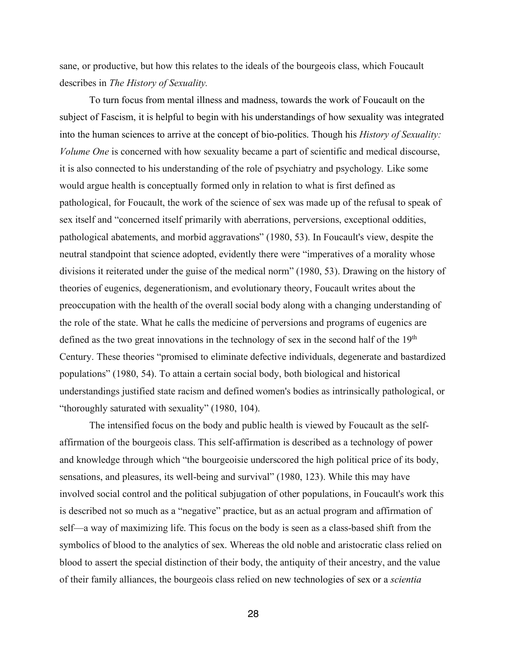sane, or productive, but how this relates to the ideals of the bourgeois class, which Foucault describes in *The History of Sexuality.* 

To turn focus from mental illness and madness, towards the work of Foucault on the subject of Fascism, it is helpful to begin with his understandings of how sexuality was integrated into the human sciences to arrive at the concept of bio-politics. Though his *History of Sexuality: Volume One* is concerned with how sexuality became a part of scientific and medical discourse, it is also connected to his understanding of the role of psychiatry and psychology*.* Like some would argue health is conceptually formed only in relation to what is first defined as pathological, for Foucault, the work of the science of sex was made up of the refusal to speak of sex itself and "concerned itself primarily with aberrations, perversions, exceptional oddities, pathological abatements, and morbid aggravations" (1980, 53). In Foucault's view, despite the neutral standpoint that science adopted, evidently there were "imperatives of a morality whose divisions it reiterated under the guise of the medical norm" (1980, 53). Drawing on the history of theories of eugenics, degenerationism, and evolutionary theory, Foucault writes about the preoccupation with the health of the overall social body along with a changing understanding of the role of the state. What he calls the medicine of perversions and programs of eugenics are defined as the two great innovations in the technology of sex in the second half of the 19<sup>th</sup> Century. These theories "promised to eliminate defective individuals, degenerate and bastardized populations" (1980, 54). To attain a certain social body, both biological and historical understandings justified state racism and defined women's bodies as intrinsically pathological, or "thoroughly saturated with sexuality" (1980, 104).

The intensified focus on the body and public health is viewed by Foucault as the selfaffirmation of the bourgeois class. This self-affirmation is described as a technology of power and knowledge through which "the bourgeoisie underscored the high political price of its body, sensations, and pleasures, its well-being and survival" (1980, 123). While this may have involved social control and the political subjugation of other populations, in Foucault's work this is described not so much as a "negative" practice, but as an actual program and affirmation of self—a way of maximizing life. This focus on the body is seen as a class-based shift from the symbolics of blood to the analytics of sex. Whereas the old noble and aristocratic class relied on blood to assert the special distinction of their body, the antiquity of their ancestry, and the value of their family alliances, the bourgeois class relied on new technologies of sex or a *scientia*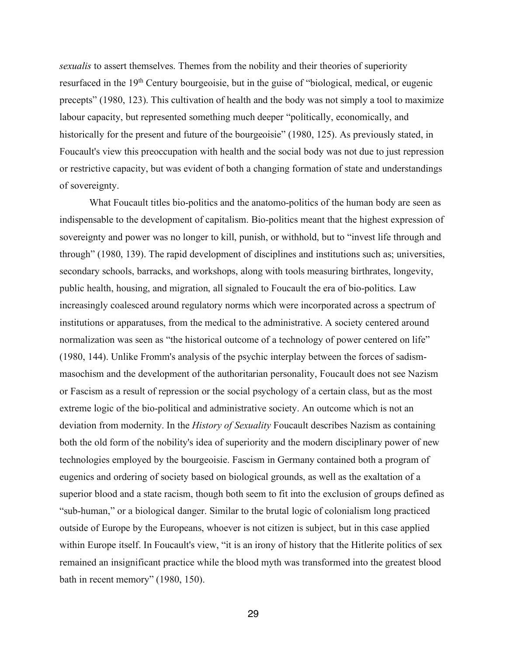*sexualis* to assert themselves. Themes from the nobility and their theories of superiority resurfaced in the 19<sup>th</sup> Century bourgeoisie, but in the guise of "biological, medical, or eugenic precepts" (1980, 123). This cultivation of health and the body was not simply a tool to maximize labour capacity, but represented something much deeper "politically, economically, and historically for the present and future of the bourgeoisie" (1980, 125). As previously stated, in Foucault's view this preoccupation with health and the social body was not due to just repression or restrictive capacity, but was evident of both a changing formation of state and understandings of sovereignty.

What Foucault titles bio-politics and the anatomo-politics of the human body are seen as indispensable to the development of capitalism. Bio-politics meant that the highest expression of sovereignty and power was no longer to kill, punish, or withhold, but to "invest life through and through" (1980, 139). The rapid development of disciplines and institutions such as; universities, secondary schools, barracks, and workshops, along with tools measuring birthrates, longevity, public health, housing, and migration, all signaled to Foucault the era of bio-politics. Law increasingly coalesced around regulatory norms which were incorporated across a spectrum of institutions or apparatuses, from the medical to the administrative. A society centered around normalization was seen as "the historical outcome of a technology of power centered on life" (1980, 144). Unlike Fromm's analysis of the psychic interplay between the forces of sadismmasochism and the development of the authoritarian personality, Foucault does not see Nazism or Fascism as a result of repression or the social psychology of a certain class, but as the most extreme logic of the bio-political and administrative society. An outcome which is not an deviation from modernity. In the *History of Sexuality* Foucault describes Nazism as containing both the old form of the nobility's idea of superiority and the modern disciplinary power of new technologies employed by the bourgeoisie. Fascism in Germany contained both a program of eugenics and ordering of society based on biological grounds, as well as the exaltation of a superior blood and a state racism, though both seem to fit into the exclusion of groups defined as "sub-human," or a biological danger. Similar to the brutal logic of colonialism long practiced outside of Europe by the Europeans, whoever is not citizen is subject, but in this case applied within Europe itself. In Foucault's view, "it is an irony of history that the Hitlerite politics of sex remained an insignificant practice while the blood myth was transformed into the greatest blood bath in recent memory" (1980, 150).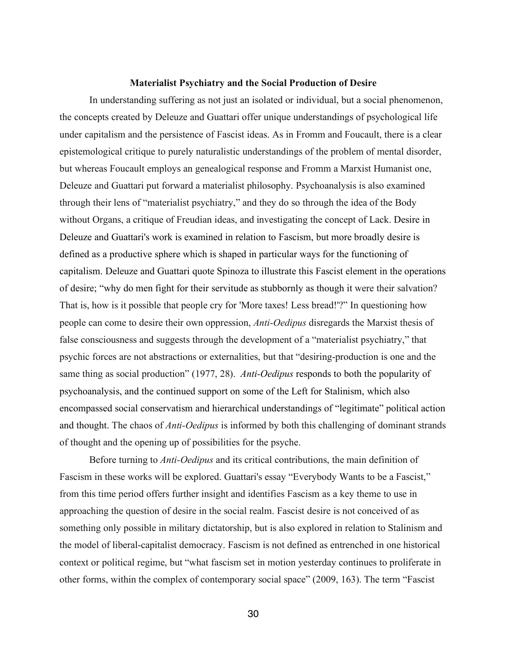#### **Materialist Psychiatry and the Social Production of Desire**

In understanding suffering as not just an isolated or individual, but a social phenomenon, the concepts created by Deleuze and Guattari offer unique understandings of psychological life under capitalism and the persistence of Fascist ideas. As in Fromm and Foucault, there is a clear epistemological critique to purely naturalistic understandings of the problem of mental disorder, but whereas Foucault employs an genealogical response and Fromm a Marxist Humanist one, Deleuze and Guattari put forward a materialist philosophy. Psychoanalysis is also examined through their lens of "materialist psychiatry," and they do so through the idea of the Body without Organs, a critique of Freudian ideas, and investigating the concept of Lack. Desire in Deleuze and Guattari's work is examined in relation to Fascism, but more broadly desire is defined as a productive sphere which is shaped in particular ways for the functioning of capitalism. Deleuze and Guattari quote Spinoza to illustrate this Fascist element in the operations of desire; "why do men fight for their servitude as stubbornly as though it were their salvation? That is, how is it possible that people cry for 'More taxes! Less bread!'?" In questioning how people can come to desire their own oppression, *Anti-Oedipus* disregards the Marxist thesis of false consciousness and suggests through the development of a "materialist psychiatry," that psychic forces are not abstractions or externalities, but that "desiring-production is one and the same thing as social production" (1977, 28). *Anti-Oedipus* responds to both the popularity of psychoanalysis, and the continued support on some of the Left for Stalinism, which also encompassed social conservatism and hierarchical understandings of "legitimate" political action and thought. The chaos of *Anti-Oedipus* is informed by both this challenging of dominant strands of thought and the opening up of possibilities for the psyche.

Before turning to *Anti-Oedipus* and its critical contributions, the main definition of Fascism in these works will be explored. Guattari's essay "Everybody Wants to be a Fascist," from this time period offers further insight and identifies Fascism as a key theme to use in approaching the question of desire in the social realm. Fascist desire is not conceived of as something only possible in military dictatorship, but is also explored in relation to Stalinism and the model of liberal-capitalist democracy. Fascism is not defined as entrenched in one historical context or political regime, but "what fascism set in motion yesterday continues to proliferate in other forms, within the complex of contemporary social space" (2009, 163). The term "Fascist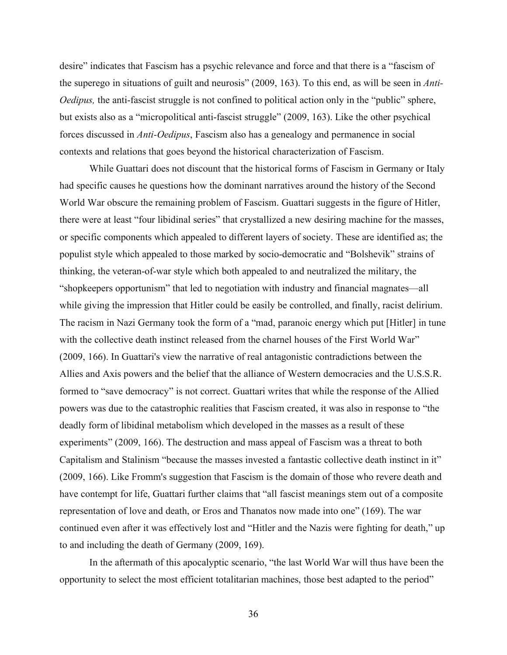desire" indicates that Fascism has a psychic relevance and force and that there is a "fascism of the superego in situations of guilt and neurosis" (2009, 163). To this end, as will be seen in *Anti-Oedipus*, the anti-fascist struggle is not confined to political action only in the "public" sphere, but exists also as a "micropolitical anti-fascist struggle" (2009, 163). Like the other psychical forces discussed in *Anti-Oedipus*, Fascism also has a genealogy and permanence in social contexts and relations that goes beyond the historical characterization of Fascism.

While Guattari does not discount that the historical forms of Fascism in Germany or Italy had specific causes he questions how the dominant narratives around the history of the Second World War obscure the remaining problem of Fascism. Guattari suggests in the figure of Hitler, there were at least "four libidinal series" that crystallized a new desiring machine for the masses, or specific components which appealed to different layers of society. These are identified as; the populist style which appealed to those marked by socio-democratic and "Bolshevik" strains of thinking, the veteran-of-war style which both appealed to and neutralized the military, the "shopkeepers opportunism" that led to negotiation with industry and financial magnates—all while giving the impression that Hitler could be easily be controlled, and finally, racist delirium. The racism in Nazi Germany took the form of a "mad, paranoic energy which put [Hitler] in tune with the collective death instinct released from the charnel houses of the First World War" (2009, 166). In Guattari's view the narrative of real antagonistic contradictions between the Allies and Axis powers and the belief that the alliance of Western democracies and the U.S.S.R. formed to "save democracy" is not correct. Guattari writes that while the response of the Allied powers was due to the catastrophic realities that Fascism created, it was also in response to "the deadly form of libidinal metabolism which developed in the masses as a result of these experiments" (2009, 166). The destruction and mass appeal of Fascism was a threat to both Capitalism and Stalinism "because the masses invested a fantastic collective death instinct in it" (2009, 166). Like Fromm's suggestion that Fascism is the domain of those who revere death and have contempt for life, Guattari further claims that "all fascist meanings stem out of a composite representation of love and death, or Eros and Thanatos now made into one" (169). The war continued even after it was effectively lost and "Hitler and the Nazis were fighting for death," up to and including the death of Germany (2009, 169).

In the aftermath of this apocalyptic scenario, "the last World War will thus have been the opportunity to select the most efficient totalitarian machines, those best adapted to the period"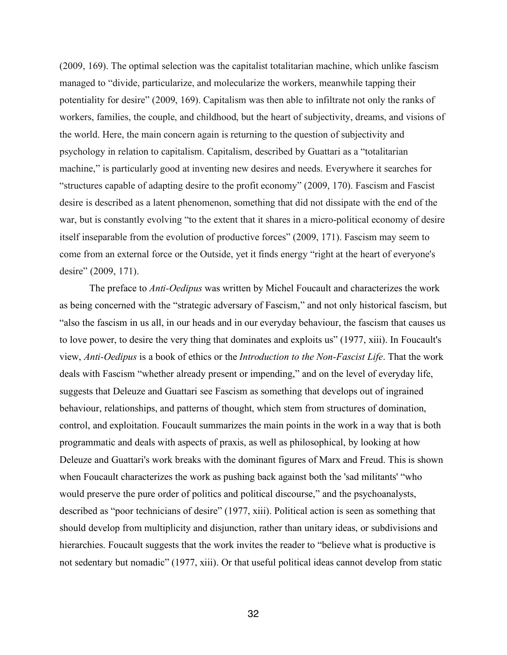(2009, 169). The optimal selection was the capitalist totalitarian machine, which unlike fascism managed to "divide, particularize, and molecularize the workers, meanwhile tapping their potentiality for desire" (2009, 169). Capitalism was then able to infiltrate not only the ranks of workers, families, the couple, and childhood, but the heart of subjectivity, dreams, and visions of the world. Here, the main concern again is returning to the question of subjectivity and psychology in relation to capitalism. Capitalism, described by Guattari as a "totalitarian machine," is particularly good at inventing new desires and needs. Everywhere it searches for "structures capable of adapting desire to the profit economy" (2009, 170). Fascism and Fascist desire is described as a latent phenomenon, something that did not dissipate with the end of the war, but is constantly evolving "to the extent that it shares in a micro-political economy of desire itself inseparable from the evolution of productive forces" (2009, 171). Fascism may seem to come from an external force or the Outside, yet it finds energy "right at the heart of everyone's desire" (2009, 171).

The preface to *Anti-Oedipus* was written by Michel Foucault and characterizes the work as being concerned with the "strategic adversary of Fascism," and not only historical fascism, but "also the fascism in us all, in our heads and in our everyday behaviour, the fascism that causes us to love power, to desire the very thing that dominates and exploits us" (1977, xiii). In Foucault's view, *Anti-Oedipus* is a book of ethics or the *Introduction to the Non-Fascist Life*. That the work deals with Fascism "whether already present or impending," and on the level of everyday life, suggests that Deleuze and Guattari see Fascism as something that develops out of ingrained behaviour, relationships, and patterns of thought, which stem from structures of domination, control, and exploitation. Foucault summarizes the main points in the work in a way that is both programmatic and deals with aspects of praxis, as well as philosophical, by looking at how Deleuze and Guattari's work breaks with the dominant figures of Marx and Freud. This is shown when Foucault characterizes the work as pushing back against both the 'sad militants' "who would preserve the pure order of politics and political discourse," and the psychoanalysts, described as "poor technicians of desire" (1977, xiii). Political action is seen as something that should develop from multiplicity and disjunction, rather than unitary ideas, or subdivisions and hierarchies. Foucault suggests that the work invites the reader to "believe what is productive is not sedentary but nomadic" (1977, xiii). Or that useful political ideas cannot develop from static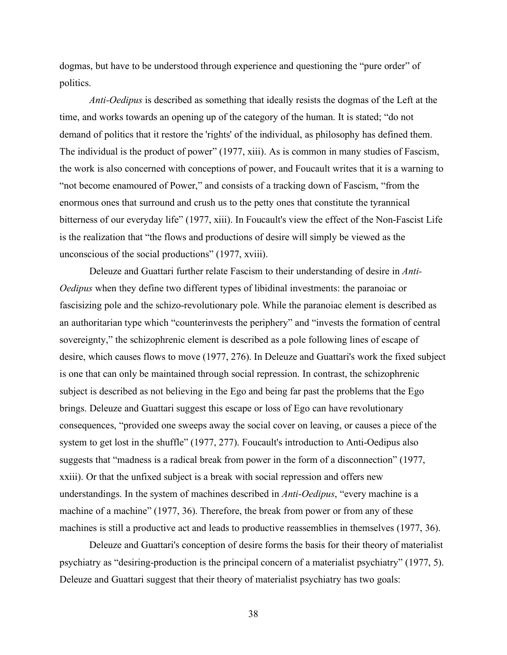dogmas, but have to be understood through experience and questioning the "pure order" of politics.

*Anti-Oedipus* is described as something that ideally resists the dogmas of the Left at the time, and works towards an opening up of the category of the human. It is stated; "do not demand of politics that it restore the 'rights' of the individual, as philosophy has defined them. The individual is the product of power" (1977, xiii). As is common in many studies of Fascism, the work is also concerned with conceptions of power, and Foucault writes that it is a warning to "not become enamoured of Power," and consists of a tracking down of Fascism, "from the enormous ones that surround and crush us to the petty ones that constitute the tyrannical bitterness of our everyday life" (1977, xiii). In Foucault's view the effect of the Non-Fascist Life is the realization that "the flows and productions of desire will simply be viewed as the unconscious of the social productions" (1977, xviii).

Deleuze and Guattari further relate Fascism to their understanding of desire in *Anti-Oedipus* when they define two different types of libidinal investments: the paranoiac or fascisizing pole and the schizo-revolutionary pole. While the paranoiac element is described as an authoritarian type which "counterinvests the periphery" and "invests the formation of central sovereignty," the schizophrenic element is described as a pole following lines of escape of desire, which causes flows to move (1977, 276). In Deleuze and Guattari's work the fixed subject is one that can only be maintained through social repression. In contrast, the schizophrenic subject is described as not believing in the Ego and being far past the problems that the Ego brings. Deleuze and Guattari suggest this escape or loss of Ego can have revolutionary consequences, "provided one sweeps away the social cover on leaving, or causes a piece of the system to get lost in the shuffle" (1977, 277). Foucault's introduction to Anti-Oedipus also suggests that "madness is a radical break from power in the form of a disconnection" (1977, xxiii). Or that the unfixed subject is a break with social repression and offers new understandings. In the system of machines described in *Anti-Oedipus*, "every machine is a machine of a machine" (1977, 36). Therefore, the break from power or from any of these machines is still a productive act and leads to productive reassemblies in themselves (1977, 36).

Deleuze and Guattari's conception of desire forms the basis for their theory of materialist psychiatry as "desiring-production is the principal concern of a materialist psychiatry" (1977, 5). Deleuze and Guattari suggest that their theory of materialist psychiatry has two goals: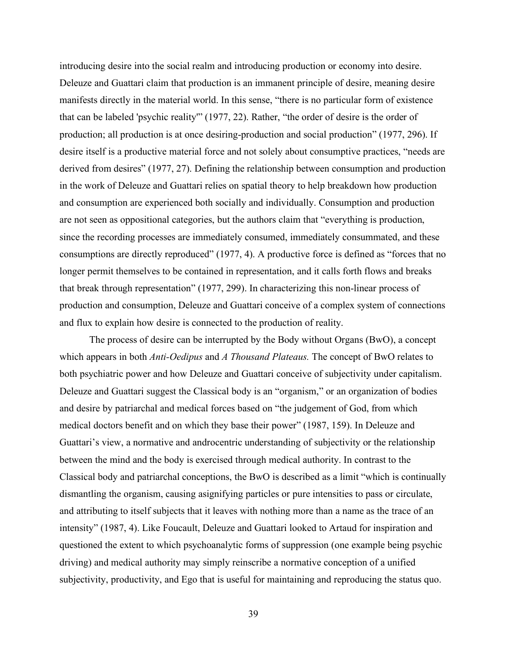introducing desire into the social realm and introducing production or economy into desire. Deleuze and Guattari claim that production is an immanent principle of desire, meaning desire manifests directly in the material world. In this sense, "there is no particular form of existence that can be labeled 'psychic reality'" (1977, 22). Rather, "the order of desire is the order of production; all production is at once desiring-production and social production" (1977, 296). If desire itself is a productive material force and not solely about consumptive practices, "needs are derived from desires" (1977, 27). Defining the relationship between consumption and production in the work of Deleuze and Guattari relies on spatial theory to help breakdown how production and consumption are experienced both socially and individually. Consumption and production are not seen as oppositional categories, but the authors claim that "everything is production, since the recording processes are immediately consumed, immediately consummated, and these consumptions are directly reproduced" (1977, 4). A productive force is defined as "forces that no longer permit themselves to be contained in representation, and it calls forth flows and breaks that break through representation" (1977, 299). In characterizing this non-linear process of production and consumption, Deleuze and Guattari conceive of a complex system of connections and flux to explain how desire is connected to the production of reality.

The process of desire can be interrupted by the Body without Organs (BwO), a concept which appears in both *Anti-Oedipus* and *A Thousand Plateaus.* The concept of BwO relates to both psychiatric power and how Deleuze and Guattari conceive of subjectivity under capitalism. Deleuze and Guattari suggest the Classical body is an "organism," or an organization of bodies and desire by patriarchal and medical forces based on "the judgement of God, from which medical doctors benefit and on which they base their power" (1987, 159). In Deleuze and Guattari's view, a normative and androcentric understanding of subjectivity or the relationship between the mind and the body is exercised through medical authority. In contrast to the Classical body and patriarchal conceptions, the BwO is described as a limit "which is continually dismantling the organism, causing asignifying particles or pure intensities to pass or circulate, and attributing to itself subjects that it leaves with nothing more than a name as the trace of an intensity" (1987, 4). Like Foucault, Deleuze and Guattari looked to Artaud for inspiration and questioned the extent to which psychoanalytic forms of suppression (one example being psychic driving) and medical authority may simply reinscribe a normative conception of a unified subjectivity, productivity, and Ego that is useful for maintaining and reproducing the status quo.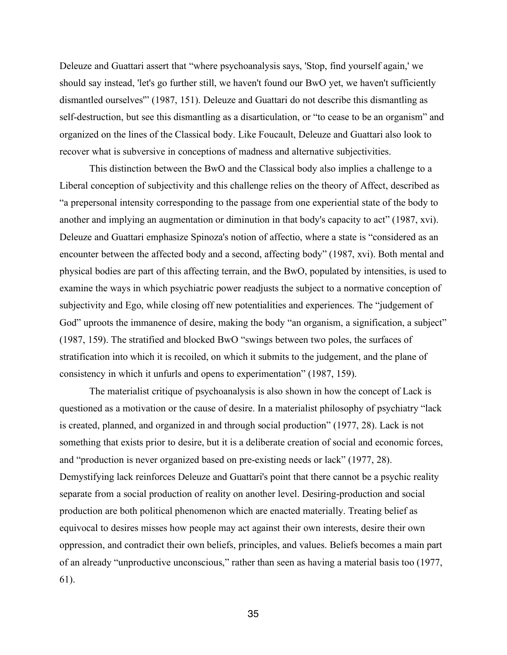Deleuze and Guattari assert that "where psychoanalysis says, 'Stop, find yourself again,' we should say instead, 'let's go further still, we haven't found our BwO yet, we haven't sufficiently dismantled ourselves'" (1987, 151). Deleuze and Guattari do not describe this dismantling as self-destruction, but see this dismantling as a disarticulation, or "to cease to be an organism" and organized on the lines of the Classical body. Like Foucault, Deleuze and Guattari also look to recover what is subversive in conceptions of madness and alternative subjectivities.

This distinction between the BwO and the Classical body also implies a challenge to a Liberal conception of subjectivity and this challenge relies on the theory of Affect, described as "a prepersonal intensity corresponding to the passage from one experiential state of the body to another and implying an augmentation or diminution in that body's capacity to act" (1987, xvi). Deleuze and Guattari emphasize Spinoza's notion of affectio, where a state is "considered as an encounter between the affected body and a second, affecting body" (1987, xvi). Both mental and physical bodies are part of this affecting terrain, and the BwO, populated by intensities, is used to examine the ways in which psychiatric power readjusts the subject to a normative conception of subjectivity and Ego, while closing off new potentialities and experiences. The "judgement of God" uproots the immanence of desire, making the body "an organism, a signification, a subject" (1987, 159). The stratified and blocked BwO "swings between two poles, the surfaces of stratification into which it is recoiled, on which it submits to the judgement, and the plane of consistency in which it unfurls and opens to experimentation" (1987, 159).

The materialist critique of psychoanalysis is also shown in how the concept of Lack is questioned as a motivation or the cause of desire. In a materialist philosophy of psychiatry "lack is created, planned, and organized in and through social production" (1977, 28). Lack is not something that exists prior to desire, but it is a deliberate creation of social and economic forces, and "production is never organized based on pre-existing needs or lack" (1977, 28). Demystifying lack reinforces Deleuze and Guattari's point that there cannot be a psychic reality separate from a social production of reality on another level. Desiring-production and social production are both political phenomenon which are enacted materially. Treating belief as equivocal to desires misses how people may act against their own interests, desire their own oppression, and contradict their own beliefs, principles, and values. Beliefs becomes a main part of an already "unproductive unconscious," rather than seen as having a material basis too (1977, 61).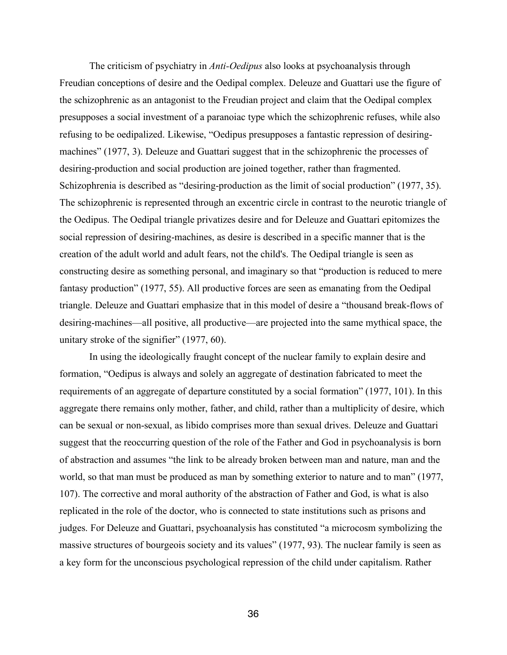The criticism of psychiatry in *Anti-Oedipus* also looks at psychoanalysis through Freudian conceptions of desire and the Oedipal complex. Deleuze and Guattari use the figure of the schizophrenic as an antagonist to the Freudian project and claim that the Oedipal complex presupposes a social investment of a paranoiac type which the schizophrenic refuses, while also refusing to be oedipalized. Likewise, "Oedipus presupposes a fantastic repression of desiringmachines" (1977, 3). Deleuze and Guattari suggest that in the schizophrenic the processes of desiring-production and social production are joined together, rather than fragmented. Schizophrenia is described as "desiring-production as the limit of social production" (1977, 35). The schizophrenic is represented through an excentric circle in contrast to the neurotic triangle of the Oedipus. The Oedipal triangle privatizes desire and for Deleuze and Guattari epitomizes the social repression of desiring-machines, as desire is described in a specific manner that is the creation of the adult world and adult fears, not the child's. The Oedipal triangle is seen as constructing desire as something personal, and imaginary so that "production is reduced to mere fantasy production" (1977, 55). All productive forces are seen as emanating from the Oedipal triangle. Deleuze and Guattari emphasize that in this model of desire a "thousand break-flows of desiring-machines—all positive, all productive—are projected into the same mythical space, the unitary stroke of the signifier" (1977, 60).

In using the ideologically fraught concept of the nuclear family to explain desire and formation, "Oedipus is always and solely an aggregate of destination fabricated to meet the requirements of an aggregate of departure constituted by a social formation" (1977, 101). In this aggregate there remains only mother, father, and child, rather than a multiplicity of desire, which can be sexual or non-sexual, as libido comprises more than sexual drives. Deleuze and Guattari suggest that the reoccurring question of the role of the Father and God in psychoanalysis is born of abstraction and assumes "the link to be already broken between man and nature, man and the world, so that man must be produced as man by something exterior to nature and to man" (1977, 107). The corrective and moral authority of the abstraction of Father and God, is what is also replicated in the role of the doctor, who is connected to state institutions such as prisons and judges. For Deleuze and Guattari, psychoanalysis has constituted "a microcosm symbolizing the massive structures of bourgeois society and its values" (1977, 93). The nuclear family is seen as a key form for the unconscious psychological repression of the child under capitalism. Rather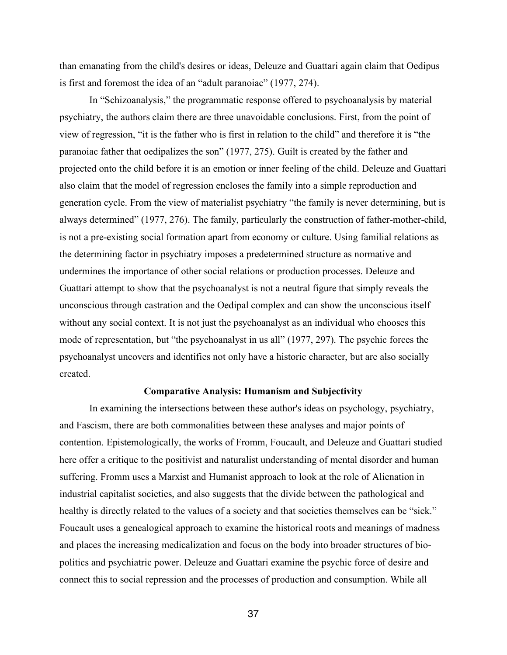than emanating from the child's desires or ideas, Deleuze and Guattari again claim that Oedipus is first and foremost the idea of an "adult paranoiac" (1977, 274).

In "Schizoanalysis," the programmatic response offered to psychoanalysis by material psychiatry, the authors claim there are three unavoidable conclusions. First, from the point of view of regression, "it is the father who is first in relation to the child" and therefore it is "the paranoiac father that oedipalizes the son" (1977, 275). Guilt is created by the father and projected onto the child before it is an emotion or inner feeling of the child. Deleuze and Guattari also claim that the model of regression encloses the family into a simple reproduction and generation cycle. From the view of materialist psychiatry "the family is never determining, but is always determined" (1977, 276). The family, particularly the construction of father-mother-child, is not a pre-existing social formation apart from economy or culture. Using familial relations as the determining factor in psychiatry imposes a predetermined structure as normative and undermines the importance of other social relations or production processes. Deleuze and Guattari attempt to show that the psychoanalyst is not a neutral figure that simply reveals the unconscious through castration and the Oedipal complex and can show the unconscious itself without any social context. It is not just the psychoanalyst as an individual who chooses this mode of representation, but "the psychoanalyst in us all" (1977, 297). The psychic forces the psychoanalyst uncovers and identifies not only have a historic character, but are also socially created.

# **Comparative Analysis: Humanism and Subjectivity**

In examining the intersections between these author's ideas on psychology, psychiatry, and Fascism, there are both commonalities between these analyses and major points of contention. Epistemologically, the works of Fromm, Foucault, and Deleuze and Guattari studied here offer a critique to the positivist and naturalist understanding of mental disorder and human suffering. Fromm uses a Marxist and Humanist approach to look at the role of Alienation in industrial capitalist societies, and also suggests that the divide between the pathological and healthy is directly related to the values of a society and that societies themselves can be "sick." Foucault uses a genealogical approach to examine the historical roots and meanings of madness and places the increasing medicalization and focus on the body into broader structures of biopolitics and psychiatric power. Deleuze and Guattari examine the psychic force of desire and connect this to social repression and the processes of production and consumption. While all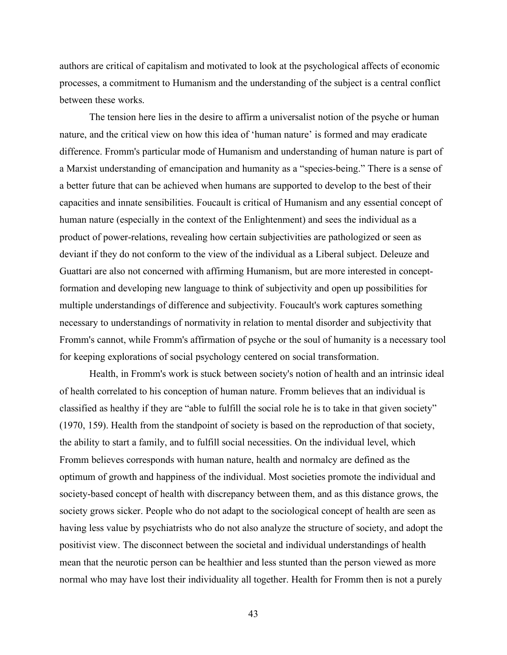authors are critical of capitalism and motivated to look at the psychological affects of economic processes, a commitment to Humanism and the understanding of the subject is a central conflict between these works.

The tension here lies in the desire to affirm a universalist notion of the psyche or human nature, and the critical view on how this idea of 'human nature' is formed and may eradicate difference. Fromm's particular mode of Humanism and understanding of human nature is part of a Marxist understanding of emancipation and humanity as a "species-being." There is a sense of a better future that can be achieved when humans are supported to develop to the best of their capacities and innate sensibilities. Foucault is critical of Humanism and any essential concept of human nature (especially in the context of the Enlightenment) and sees the individual as a product of power-relations, revealing how certain subjectivities are pathologized or seen as deviant if they do not conform to the view of the individual as a Liberal subject. Deleuze and Guattari are also not concerned with affirming Humanism, but are more interested in conceptformation and developing new language to think of subjectivity and open up possibilities for multiple understandings of difference and subjectivity. Foucault's work captures something necessary to understandings of normativity in relation to mental disorder and subjectivity that Fromm's cannot, while Fromm's affirmation of psyche or the soul of humanity is a necessary tool for keeping explorations of social psychology centered on social transformation.

Health, in Fromm's work is stuck between society's notion of health and an intrinsic ideal of health correlated to his conception of human nature. Fromm believes that an individual is classified as healthy if they are "able to fulfill the social role he is to take in that given society" (1970, 159). Health from the standpoint of society is based on the reproduction of that society, the ability to start a family, and to fulfill social necessities. On the individual level, which Fromm believes corresponds with human nature, health and normalcy are defined as the optimum of growth and happiness of the individual. Most societies promote the individual and society-based concept of health with discrepancy between them, and as this distance grows, the society grows sicker. People who do not adapt to the sociological concept of health are seen as having less value by psychiatrists who do not also analyze the structure of society, and adopt the positivist view. The disconnect between the societal and individual understandings of health mean that the neurotic person can be healthier and less stunted than the person viewed as more normal who may have lost their individuality all together. Health for Fromm then is not a purely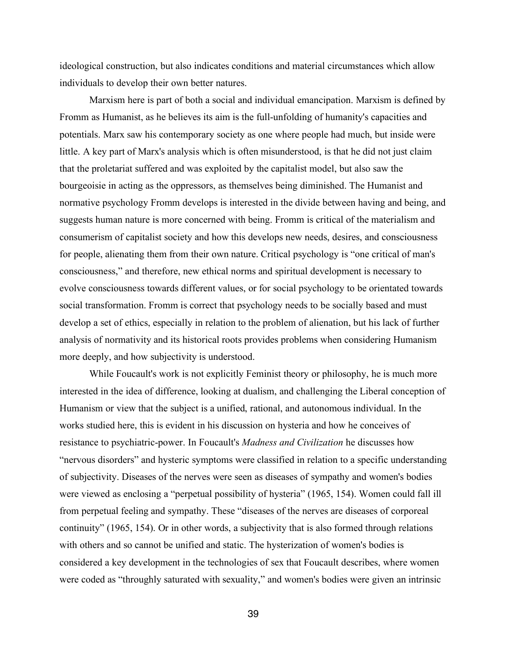ideological construction, but also indicates conditions and material circumstances which allow individuals to develop their own better natures.

Marxism here is part of both a social and individual emancipation. Marxism is defined by Fromm as Humanist, as he believes its aim is the full-unfolding of humanity's capacities and potentials. Marx saw his contemporary society as one where people had much, but inside were little. A key part of Marx's analysis which is often misunderstood, is that he did not just claim that the proletariat suffered and was exploited by the capitalist model, but also saw the bourgeoisie in acting as the oppressors, as themselves being diminished. The Humanist and normative psychology Fromm develops is interested in the divide between having and being, and suggests human nature is more concerned with being. Fromm is critical of the materialism and consumerism of capitalist society and how this develops new needs, desires, and consciousness for people, alienating them from their own nature. Critical psychology is "one critical of man's consciousness," and therefore, new ethical norms and spiritual development is necessary to evolve consciousness towards different values, or for social psychology to be orientated towards social transformation. Fromm is correct that psychology needs to be socially based and must develop a set of ethics, especially in relation to the problem of alienation, but his lack of further analysis of normativity and its historical roots provides problems when considering Humanism more deeply, and how subjectivity is understood.

While Foucault's work is not explicitly Feminist theory or philosophy, he is much more interested in the idea of difference, looking at dualism, and challenging the Liberal conception of Humanism or view that the subject is a unified, rational, and autonomous individual. In the works studied here, this is evident in his discussion on hysteria and how he conceives of resistance to psychiatric-power. In Foucault's *Madness and Civilization* he discusses how "nervous disorders" and hysteric symptoms were classified in relation to a specific understanding of subjectivity. Diseases of the nerves were seen as diseases of sympathy and women's bodies were viewed as enclosing a "perpetual possibility of hysteria" (1965, 154). Women could fall ill from perpetual feeling and sympathy. These "diseases of the nerves are diseases of corporeal continuity" (1965, 154). Or in other words, a subjectivity that is also formed through relations with others and so cannot be unified and static. The hysterization of women's bodies is considered a key development in the technologies of sex that Foucault describes, where women were coded as "throughly saturated with sexuality," and women's bodies were given an intrinsic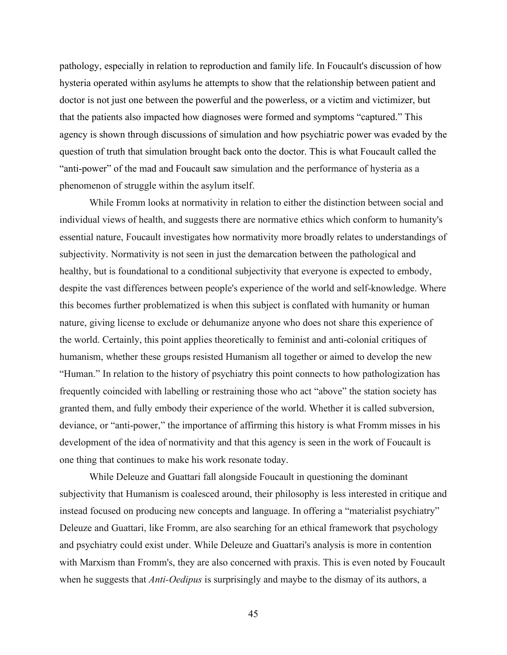pathology, especially in relation to reproduction and family life. In Foucault's discussion of how hysteria operated within asylums he attempts to show that the relationship between patient and doctor is not just one between the powerful and the powerless, or a victim and victimizer, but that the patients also impacted how diagnoses were formed and symptoms "captured." This agency is shown through discussions of simulation and how psychiatric power was evaded by the question of truth that simulation brought back onto the doctor. This is what Foucault called the "anti-power" of the mad and Foucault saw simulation and the performance of hysteria as a phenomenon of struggle within the asylum itself.

While Fromm looks at normativity in relation to either the distinction between social and individual views of health, and suggests there are normative ethics which conform to humanity's essential nature, Foucault investigates how normativity more broadly relates to understandings of subjectivity. Normativity is not seen in just the demarcation between the pathological and healthy, but is foundational to a conditional subjectivity that everyone is expected to embody, despite the vast differences between people's experience of the world and self-knowledge. Where this becomes further problematized is when this subject is conflated with humanity or human nature, giving license to exclude or dehumanize anyone who does not share this experience of the world. Certainly, this point applies theoretically to feminist and anti-colonial critiques of humanism, whether these groups resisted Humanism all together or aimed to develop the new "Human." In relation to the history of psychiatry this point connects to how pathologization has frequently coincided with labelling or restraining those who act "above" the station society has granted them, and fully embody their experience of the world. Whether it is called subversion, deviance, or "anti-power," the importance of affirming this history is what Fromm misses in his development of the idea of normativity and that this agency is seen in the work of Foucault is one thing that continues to make his work resonate today.

While Deleuze and Guattari fall alongside Foucault in questioning the dominant subjectivity that Humanism is coalesced around, their philosophy is less interested in critique and instead focused on producing new concepts and language. In offering a "materialist psychiatry" Deleuze and Guattari, like Fromm, are also searching for an ethical framework that psychology and psychiatry could exist under. While Deleuze and Guattari's analysis is more in contention with Marxism than Fromm's, they are also concerned with praxis. This is even noted by Foucault when he suggests that *Anti-Oedipus* is surprisingly and maybe to the dismay of its authors, a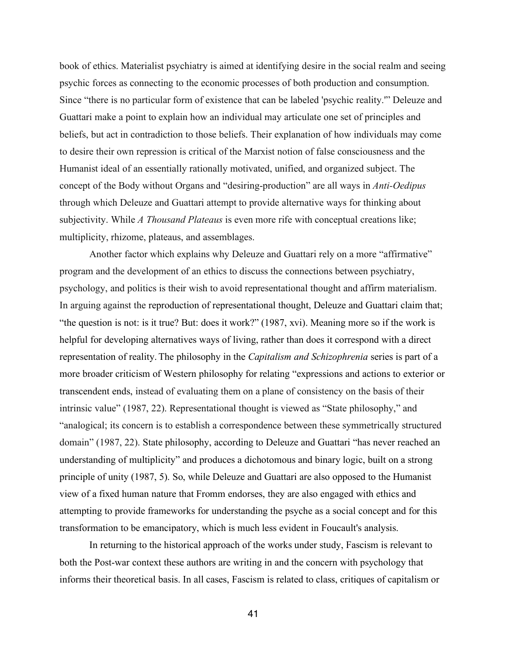book of ethics. Materialist psychiatry is aimed at identifying desire in the social realm and seeing psychic forces as connecting to the economic processes of both production and consumption. Since "there is no particular form of existence that can be labeled 'psychic reality.'" Deleuze and Guattari make a point to explain how an individual may articulate one set of principles and beliefs, but act in contradiction to those beliefs. Their explanation of how individuals may come to desire their own repression is critical of the Marxist notion of false consciousness and the Humanist ideal of an essentially rationally motivated, unified, and organized subject. The concept of the Body without Organs and "desiring-production" are all ways in *Anti-Oedipus*  through which Deleuze and Guattari attempt to provide alternative ways for thinking about subjectivity. While *A Thousand Plateaus* is even more rife with conceptual creations like; multiplicity, rhizome, plateaus, and assemblages.

Another factor which explains why Deleuze and Guattari rely on a more "affirmative" program and the development of an ethics to discuss the connections between psychiatry, psychology, and politics is their wish to avoid representational thought and affirm materialism. In arguing against the reproduction of representational thought, Deleuze and Guattari claim that; "the question is not: is it true? But: does it work?" (1987, xvi). Meaning more so if the work is helpful for developing alternatives ways of living, rather than does it correspond with a direct representation of reality.The philosophy in the *Capitalism and Schizophrenia* series is part of a more broader criticism of Western philosophy for relating "expressions and actions to exterior or transcendent ends, instead of evaluating them on a plane of consistency on the basis of their intrinsic value" (1987, 22). Representational thought is viewed as "State philosophy," and "analogical; its concern is to establish a correspondence between these symmetrically structured domain" (1987, 22). State philosophy, according to Deleuze and Guattari "has never reached an understanding of multiplicity" and produces a dichotomous and binary logic, built on a strong principle of unity (1987, 5). So, while Deleuze and Guattari are also opposed to the Humanist view of a fixed human nature that Fromm endorses, they are also engaged with ethics and attempting to provide frameworks for understanding the psyche as a social concept and for this transformation to be emancipatory, which is much less evident in Foucault's analysis.

In returning to the historical approach of the works under study, Fascism is relevant to both the Post-war context these authors are writing in and the concern with psychology that informs their theoretical basis. In all cases, Fascism is related to class, critiques of capitalism or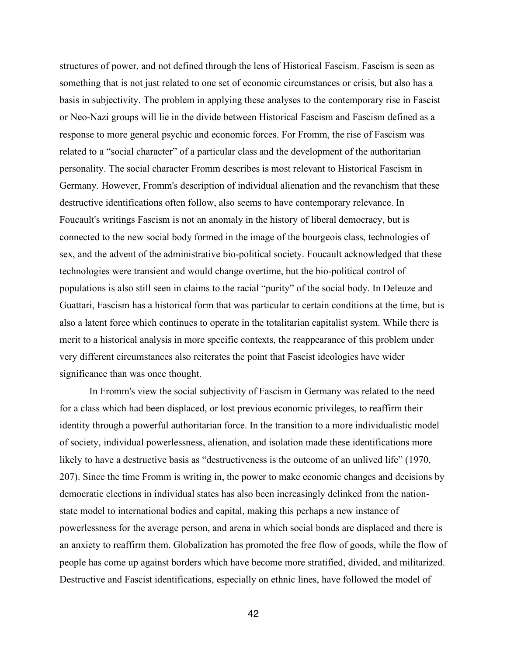structures of power, and not defined through the lens of Historical Fascism. Fascism is seen as something that is not just related to one set of economic circumstances or crisis, but also has a basis in subjectivity. The problem in applying these analyses to the contemporary rise in Fascist or Neo-Nazi groups will lie in the divide between Historical Fascism and Fascism defined as a response to more general psychic and economic forces. For Fromm, the rise of Fascism was related to a "social character" of a particular class and the development of the authoritarian personality. The social character Fromm describes is most relevant to Historical Fascism in Germany. However, Fromm's description of individual alienation and the revanchism that these destructive identifications often follow, also seems to have contemporary relevance. In Foucault's writings Fascism is not an anomaly in the history of liberal democracy, but is connected to the new social body formed in the image of the bourgeois class, technologies of sex, and the advent of the administrative bio-political society. Foucault acknowledged that these technologies were transient and would change overtime, but the bio-political control of populations is also still seen in claims to the racial "purity" of the social body. In Deleuze and Guattari, Fascism has a historical form that was particular to certain conditions at the time, but is also a latent force which continues to operate in the totalitarian capitalist system. While there is merit to a historical analysis in more specific contexts, the reappearance of this problem under very different circumstances also reiterates the point that Fascist ideologies have wider significance than was once thought.

In Fromm's view the social subjectivity of Fascism in Germany was related to the need for a class which had been displaced, or lost previous economic privileges, to reaffirm their identity through a powerful authoritarian force. In the transition to a more individualistic model of society, individual powerlessness, alienation, and isolation made these identifications more likely to have a destructive basis as "destructiveness is the outcome of an unlived life" (1970, 207). Since the time Fromm is writing in, the power to make economic changes and decisions by democratic elections in individual states has also been increasingly delinked from the nationstate model to international bodies and capital, making this perhaps a new instance of powerlessness for the average person, and arena in which social bonds are displaced and there is an anxiety to reaffirm them. Globalization has promoted the free flow of goods, while the flow of people has come up against borders which have become more stratified, divided, and militarized. Destructive and Fascist identifications, especially on ethnic lines, have followed the model of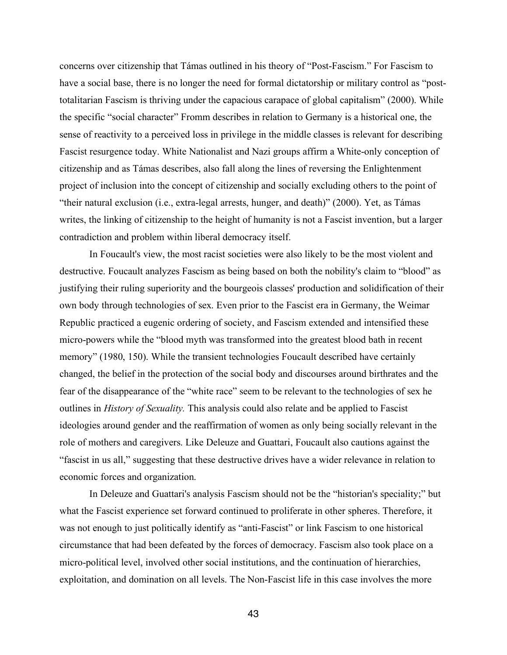concerns over citizenship that Támas outlined in his theory of "Post-Fascism." For Fascism to have a social base, there is no longer the need for formal dictatorship or military control as "posttotalitarian Fascism is thriving under the capacious carapace of global capitalism" (2000). While the specific "social character" Fromm describes in relation to Germany is a historical one, the sense of reactivity to a perceived loss in privilege in the middle classes is relevant for describing Fascist resurgence today. White Nationalist and Nazi groups affirm a White-only conception of citizenship and as Támas describes, also fall along the lines of reversing the Enlightenment project of inclusion into the concept of citizenship and socially excluding others to the point of "their natural exclusion (i.e., extra-legal arrests, hunger, and death)" (2000). Yet, as Támas writes, the linking of citizenship to the height of humanity is not a Fascist invention, but a larger contradiction and problem within liberal democracy itself.

In Foucault's view, the most racist societies were also likely to be the most violent and destructive. Foucault analyzes Fascism as being based on both the nobility's claim to "blood" as justifying their ruling superiority and the bourgeois classes' production and solidification of their own body through technologies of sex. Even prior to the Fascist era in Germany, the Weimar Republic practiced a eugenic ordering of society, and Fascism extended and intensified these micro-powers while the "blood myth was transformed into the greatest blood bath in recent memory" (1980, 150). While the transient technologies Foucault described have certainly changed, the belief in the protection of the social body and discourses around birthrates and the fear of the disappearance of the "white race" seem to be relevant to the technologies of sex he outlines in *History of Sexuality.* This analysis could also relate and be applied to Fascist ideologies around gender and the reaffirmation of women as only being socially relevant in the role of mothers and caregivers. Like Deleuze and Guattari, Foucault also cautions against the "fascist in us all," suggesting that these destructive drives have a wider relevance in relation to economic forces and organization.

In Deleuze and Guattari's analysis Fascism should not be the "historian's speciality;" but what the Fascist experience set forward continued to proliferate in other spheres. Therefore, it was not enough to just politically identify as "anti-Fascist" or link Fascism to one historical circumstance that had been defeated by the forces of democracy. Fascism also took place on a micro-political level, involved other social institutions, and the continuation of hierarchies, exploitation, and domination on all levels. The Non-Fascist life in this case involves the more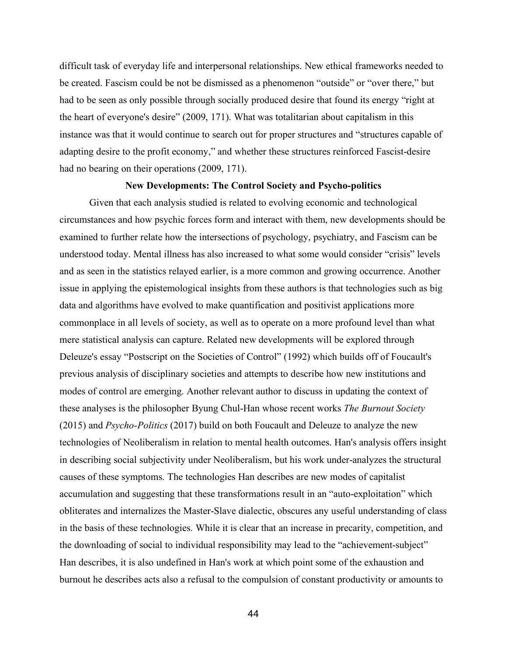difficult task of everyday life and interpersonal relationships. New ethical frameworks needed to be created. Fascism could be not be dismissed as a phenomenon "outside" or "over there," but had to be seen as only possible through socially produced desire that found its energy "right at the heart of everyone's desire" (2009, 171). What was totalitarian about capitalism in this instance was that it would continue to search out for proper structures and "structures capable of adapting desire to the profit economy," and whether these structures reinforced Fascist-desire had no bearing on their operations (2009, 171).

#### **New Developments: The Control Society and Psycho-politics**

Given that each analysis studied is related to evolving economic and technological circumstances and how psychic forces form and interact with them, new developments should be examined to further relate how the intersections of psychology, psychiatry, and Fascism can be understood today. Mental illness has also increased to what some would consider "crisis" levels and as seen in the statistics relayed earlier, is a more common and growing occurrence. Another issue in applying the epistemological insights from these authors is that technologies such as big data and algorithms have evolved to make quantification and positivist applications more commonplace in all levels of society, as well as to operate on a more profound level than what mere statistical analysis can capture. Related new developments will be explored through Deleuze's essay "Postscript on the Societies of Control" (1992) which builds off of Foucault's previous analysis of disciplinary societies and attempts to describe how new institutions and modes of control are emerging. Another relevant author to discuss in updating the context of these analyses is the philosopher Byung Chul-Han whose recent works *The Burnout Society*  (2015) and *Psycho-Politics* (2017) build on both Foucault and Deleuze to analyze the new technologies of Neoliberalism in relation to mental health outcomes. Han's analysis offers insight in describing social subjectivity under Neoliberalism, but his work under-analyzes the structural causes of these symptoms. The technologies Han describes are new modes of capitalist accumulation and suggesting that these transformations result in an "auto-exploitation" which obliterates and internalizes the Master-Slave dialectic, obscures any useful understanding of class in the basis of these technologies. While it is clear that an increase in precarity, competition, and the downloading of social to individual responsibility may lead to the "achievement-subject" Han describes, it is also undefined in Han's work at which point some of the exhaustion and burnout he describes acts also a refusal to the compulsion of constant productivity or amounts to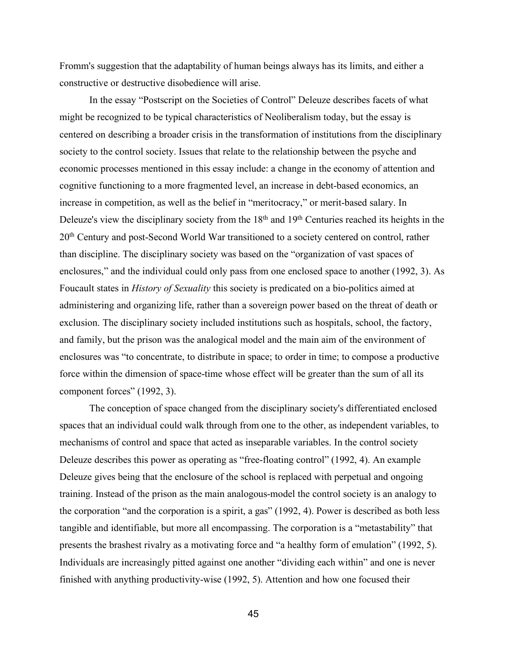Fromm's suggestion that the adaptability of human beings always has its limits, and either a constructive or destructive disobedience will arise.

In the essay "Postscript on the Societies of Control" Deleuze describes facets of what might be recognized to be typical characteristics of Neoliberalism today, but the essay is centered on describing a broader crisis in the transformation of institutions from the disciplinary society to the control society. Issues that relate to the relationship between the psyche and economic processes mentioned in this essay include: a change in the economy of attention and cognitive functioning to a more fragmented level, an increase in debt-based economics, an increase in competition, as well as the belief in "meritocracy," or merit-based salary. In Deleuze's view the disciplinary society from the  $18<sup>th</sup>$  and  $19<sup>th</sup>$  Centuries reached its heights in the 20th Century and post-Second World War transitioned to a society centered on control, rather than discipline. The disciplinary society was based on the "organization of vast spaces of enclosures," and the individual could only pass from one enclosed space to another (1992, 3). As Foucault states in *History of Sexuality* this society is predicated on a bio-politics aimed at administering and organizing life, rather than a sovereign power based on the threat of death or exclusion. The disciplinary society included institutions such as hospitals, school, the factory, and family, but the prison was the analogical model and the main aim of the environment of enclosures was "to concentrate, to distribute in space; to order in time; to compose a productive force within the dimension of space-time whose effect will be greater than the sum of all its component forces" (1992, 3).

The conception of space changed from the disciplinary society's differentiated enclosed spaces that an individual could walk through from one to the other, as independent variables, to mechanisms of control and space that acted as inseparable variables. In the control society Deleuze describes this power as operating as "free-floating control" (1992, 4). An example Deleuze gives being that the enclosure of the school is replaced with perpetual and ongoing training. Instead of the prison as the main analogous-model the control society is an analogy to the corporation "and the corporation is a spirit, a gas" (1992, 4). Power is described as both less tangible and identifiable, but more all encompassing. The corporation is a "metastability" that presents the brashest rivalry as a motivating force and "a healthy form of emulation" (1992, 5). Individuals are increasingly pitted against one another "dividing each within" and one is never finished with anything productivity-wise (1992, 5). Attention and how one focused their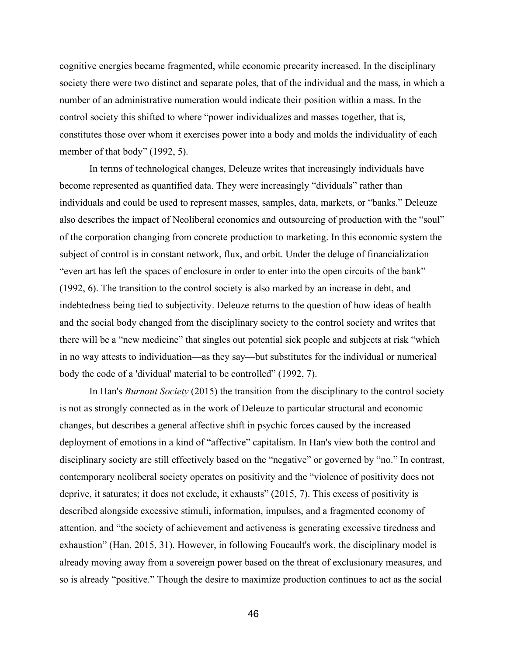cognitive energies became fragmented, while economic precarity increased. In the disciplinary society there were two distinct and separate poles, that of the individual and the mass, in which a number of an administrative numeration would indicate their position within a mass. In the control society this shifted to where "power individualizes and masses together, that is, constitutes those over whom it exercises power into a body and molds the individuality of each member of that body" (1992, 5).

In terms of technological changes, Deleuze writes that increasingly individuals have become represented as quantified data. They were increasingly "dividuals" rather than individuals and could be used to represent masses, samples, data, markets, or "banks." Deleuze also describes the impact of Neoliberal economics and outsourcing of production with the "soul" of the corporation changing from concrete production to marketing. In this economic system the subject of control is in constant network, flux, and orbit. Under the deluge of financialization "even art has left the spaces of enclosure in order to enter into the open circuits of the bank" (1992, 6). The transition to the control society is also marked by an increase in debt, and indebtedness being tied to subjectivity. Deleuze returns to the question of how ideas of health and the social body changed from the disciplinary society to the control society and writes that there will be a "new medicine" that singles out potential sick people and subjects at risk "which in no way attests to individuation—as they say—but substitutes for the individual or numerical body the code of a 'dividual' material to be controlled" (1992, 7).

In Han's *Burnout Society* (2015) the transition from the disciplinary to the control society is not as strongly connected as in the work of Deleuze to particular structural and economic changes, but describes a general affective shift in psychic forces caused by the increased deployment of emotions in a kind of "affective" capitalism. In Han's view both the control and disciplinary society are still effectively based on the "negative" or governed by "no." In contrast, contemporary neoliberal society operates on positivity and the "violence of positivity does not deprive, it saturates; it does not exclude, it exhausts" (2015, 7). This excess of positivity is described alongside excessive stimuli, information, impulses, and a fragmented economy of attention, and "the society of achievement and activeness is generating excessive tiredness and exhaustion" (Han, 2015, 31). However, in following Foucault's work, the disciplinary model is already moving away from a sovereign power based on the threat of exclusionary measures, and so is already "positive." Though the desire to maximize production continues to act as the social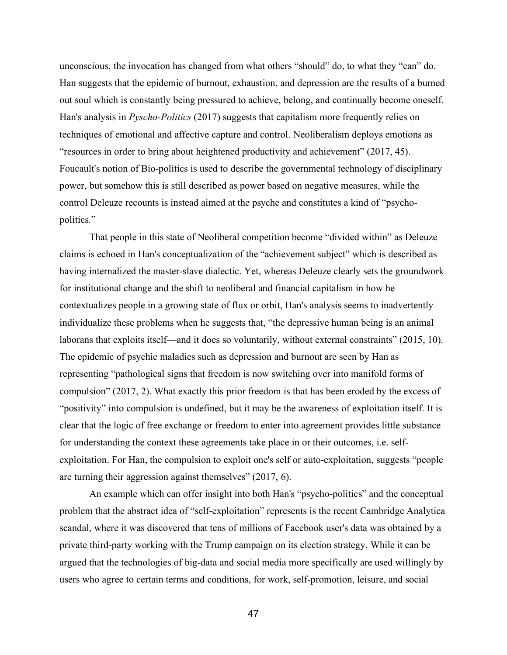unconscious, the invocation has changed from what others "should" do, to what they "can" do. Han suggests that the epidemic of burnout, exhaustion, and depression are the results of a burned out soul which is constantly being pressured to achieve, belong, and continually become oneself. Han's analysis in *Pyscho-Politics* (2017) suggests that capitalism more frequently relies on techniques of emotional and affective capture and control. Neoliberalism deploys emotions as "resources in order to bring about heightened productivity and achievement" (2017, 45). Foucault's notion of Bio-politics is used to describe the governmental technology of disciplinary power, but somehow this is still described as power based on negative measures, while the control Deleuze recounts is instead aimed at the psyche and constitutes a kind of "psychopolitics."

That people in this state of Neoliberal competition become "divided within" as Deleuze claims is echoed in Han's conceptualization of the "achievement subject" which is described as having internalized the master-slave dialectic. Yet, whereas Deleuze clearly sets the groundwork for institutional change and the shift to neoliberal and financial capitalism in how he contextualizes people in a growing state of flux or orbit, Han's analysis seems to inadvertently individualize these problems when he suggests that, "the depressive human being is an animal laborans that exploits itself—and it does so voluntarily, without external constraints" (2015, 10). The epidemic of psychic maladies such as depression and burnout are seen by Han as representing "pathological signs that freedom is now switching over into manifold forms of compulsion" (2017, 2). What exactly this prior freedom is that has been eroded by the excess of "positivity" into compulsion is undefined, but it may be the awareness of exploitation itself. It is clear that the logic of free exchange or freedom to enter into agreement provides little substance for understanding the context these agreements take place in or their outcomes, i.e. selfexploitation. For Han, the compulsion to exploit one's self or auto-exploitation, suggests "people are turning their aggression against themselves" (2017, 6).

An example which can offer insight into both Han's "psycho-politics" and the conceptual problem that the abstract idea of "self-exploitation" represents is the recent Cambridge Analytica scandal, where it was discovered that tens of millions of Facebook user's data was obtained by a private third-party working with the Trump campaign on its election strategy. While it can be argued that the technologies of big-data and social media more specifically are used willingly by users who agree to certain terms and conditions, for work, self-promotion, leisure, and social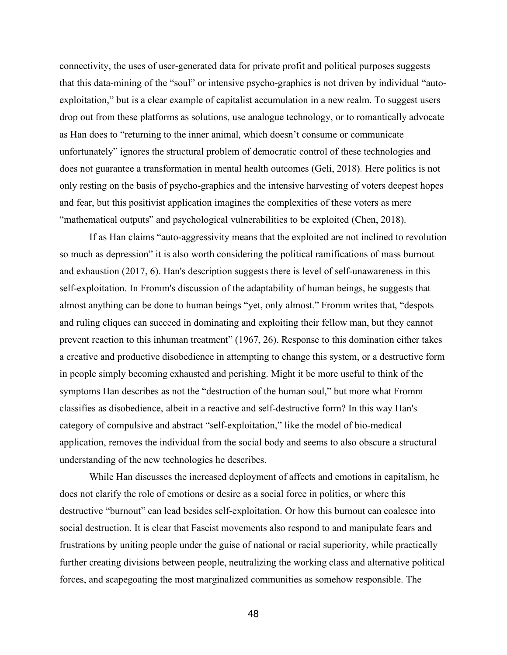connectivity, the uses of user-generated data for private profit and political purposes suggests that this data-mining of the "soul" or intensive psycho-graphics is not driven by individual "autoexploitation," but is a clear example of capitalist accumulation in a new realm. To suggest users drop out from these platforms as solutions, use analogue technology, or to romantically advocate as Han does to "returning to the inner animal, which doesn't consume or communicate unfortunately" ignores the structural problem of democratic control of these technologies and does not guarantee a transformation in mental health outcomes (Geli, 2018). Here politics is not only resting on the basis of psycho-graphics and the intensive harvesting of voters deepest hopes and fear, but this positivist application imagines the complexities of these voters as mere "mathematical outputs" and psychological vulnerabilities to be exploited (Chen, 2018).

If as Han claims "auto-aggressivity means that the exploited are not inclined to revolution so much as depression" it is also worth considering the political ramifications of mass burnout and exhaustion (2017, 6). Han's description suggests there is level of self-unawareness in this self-exploitation. In Fromm's discussion of the adaptability of human beings, he suggests that almost anything can be done to human beings "yet, only almost." Fromm writes that, "despots and ruling cliques can succeed in dominating and exploiting their fellow man, but they cannot prevent reaction to this inhuman treatment" (1967, 26). Response to this domination either takes a creative and productive disobedience in attempting to change this system, or a destructive form in people simply becoming exhausted and perishing. Might it be more useful to think of the symptoms Han describes as not the "destruction of the human soul," but more what Fromm classifies as disobedience, albeit in a reactive and self-destructive form? In this way Han's category of compulsive and abstract "self-exploitation," like the model of bio-medical application, removes the individual from the social body and seems to also obscure a structural understanding of the new technologies he describes.

While Han discusses the increased deployment of affects and emotions in capitalism, he does not clarify the role of emotions or desire as a social force in politics, or where this destructive "burnout" can lead besides self-exploitation. Or how this burnout can coalesce into social destruction. It is clear that Fascist movements also respond to and manipulate fears and frustrations by uniting people under the guise of national or racial superiority, while practically further creating divisions between people, neutralizing the working class and alternative political forces, and scapegoating the most marginalized communities as somehow responsible. The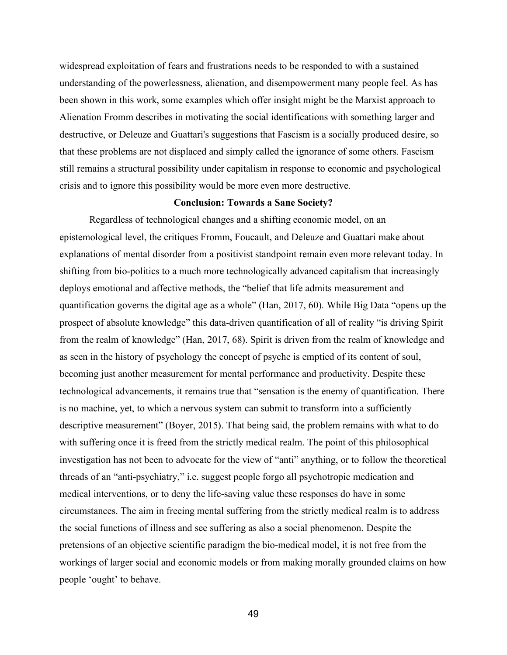widespread exploitation of fears and frustrations needs to be responded to with a sustained understanding of the powerlessness, alienation, and disempowerment many people feel. As has been shown in this work, some examples which offer insight might be the Marxist approach to Alienation Fromm describes in motivating the social identifications with something larger and destructive, or Deleuze and Guattari's suggestions that Fascism is a socially produced desire, so that these problems are not displaced and simply called the ignorance of some others. Fascism still remains a structural possibility under capitalism in response to economic and psychological crisis and to ignore this possibility would be more even more destructive.

#### **Conclusion: Towards a Sane Society?**

Regardless of technological changes and a shifting economic model, on an epistemological level, the critiques Fromm, Foucault, and Deleuze and Guattari make about explanations of mental disorder from a positivist standpoint remain even more relevant today. In shifting from bio-politics to a much more technologically advanced capitalism that increasingly deploys emotional and affective methods, the "belief that life admits measurement and quantification governs the digital age as a whole" (Han, 2017, 60). While Big Data "opens up the prospect of absolute knowledge" this data-driven quantification of all of reality "is driving Spirit from the realm of knowledge" (Han, 2017, 68). Spirit is driven from the realm of knowledge and as seen in the history of psychology the concept of psyche is emptied of its content of soul, becoming just another measurement for mental performance and productivity. Despite these technological advancements, it remains true that "sensation is the enemy of quantification. There is no machine, yet, to which a nervous system can submit to transform into a sufficiently descriptive measurement" (Boyer, 2015). That being said, the problem remains with what to do with suffering once it is freed from the strictly medical realm. The point of this philosophical investigation has not been to advocate for the view of "anti" anything, or to follow the theoretical threads of an "anti-psychiatry," i.e. suggest people forgo all psychotropic medication and medical interventions, or to deny the life-saving value these responses do have in some circumstances. The aim in freeing mental suffering from the strictly medical realm is to address the social functions of illness and see suffering as also a social phenomenon. Despite the pretensions of an objective scientific paradigm the bio-medical model, it is not free from the workings of larger social and economic models or from making morally grounded claims on how people 'ought' to behave.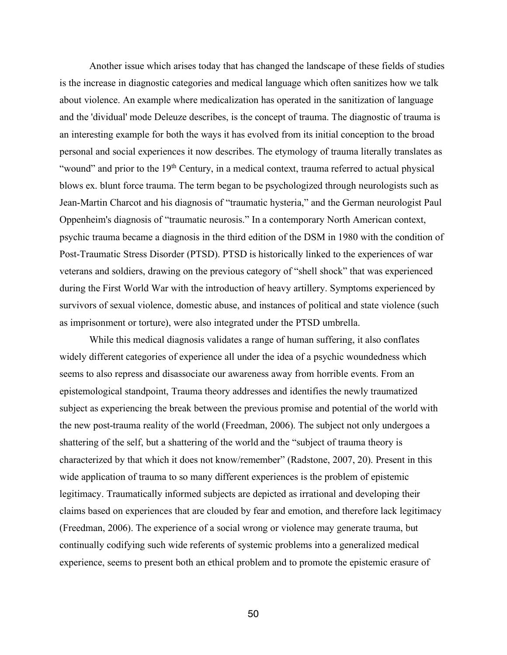Another issue which arises today that has changed the landscape of these fields of studies is the increase in diagnostic categories and medical language which often sanitizes how we talk about violence. An example where medicalization has operated in the sanitization of language and the 'dividual' mode Deleuze describes, is the concept of trauma. The diagnostic of trauma is an interesting example for both the ways it has evolved from its initial conception to the broad personal and social experiences it now describes. The etymology of trauma literally translates as "wound" and prior to the 19<sup>th</sup> Century, in a medical context, trauma referred to actual physical blows ex. blunt force trauma. The term began to be psychologized through neurologists such as Jean-Martin Charcot and his diagnosis of "traumatic hysteria," and the German neurologist Paul Oppenheim's diagnosis of "traumatic neurosis." In a contemporary North American context, psychic trauma became a diagnosis in the third edition of the DSM in 1980 with the condition of Post-Traumatic Stress Disorder (PTSD). PTSD is historically linked to the experiences of war veterans and soldiers, drawing on the previous category of "shell shock" that was experienced during the First World War with the introduction of heavy artillery. Symptoms experienced by survivors of sexual violence, domestic abuse, and instances of political and state violence (such as imprisonment or torture), were also integrated under the PTSD umbrella.

While this medical diagnosis validates a range of human suffering, it also conflates widely different categories of experience all under the idea of a psychic woundedness which seems to also repress and disassociate our awareness away from horrible events. From an epistemological standpoint, Trauma theory addresses and identifies the newly traumatized subject as experiencing the break between the previous promise and potential of the world with the new post-trauma reality of the world (Freedman, 2006). The subject not only undergoes a shattering of the self, but a shattering of the world and the "subject of trauma theory is characterized by that which it does not know/remember" (Radstone, 2007, 20). Present in this wide application of trauma to so many different experiences is the problem of epistemic legitimacy. Traumatically informed subjects are depicted as irrational and developing their claims based on experiences that are clouded by fear and emotion, and therefore lack legitimacy (Freedman, 2006). The experience of a social wrong or violence may generate trauma, but continually codifying such wide referents of systemic problems into a generalized medical experience, seems to present both an ethical problem and to promote the epistemic erasure of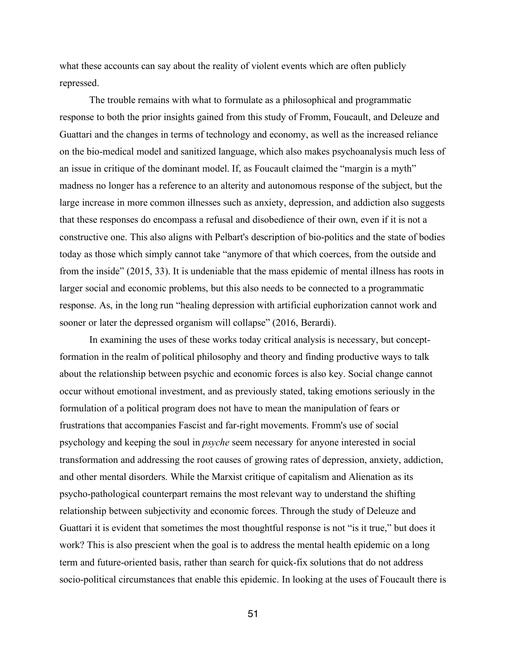what these accounts can say about the reality of violent events which are often publicly repressed.

The trouble remains with what to formulate as a philosophical and programmatic response to both the prior insights gained from this study of Fromm, Foucault, and Deleuze and Guattari and the changes in terms of technology and economy, as well as the increased reliance on the bio-medical model and sanitized language, which also makes psychoanalysis much less of an issue in critique of the dominant model. If, as Foucault claimed the "margin is a myth" madness no longer has a reference to an alterity and autonomous response of the subject, but the large increase in more common illnesses such as anxiety, depression, and addiction also suggests that these responses do encompass a refusal and disobedience of their own, even if it is not a constructive one. This also aligns with Pelbart's description of bio-politics and the state of bodies today as those which simply cannot take "anymore of that which coerces, from the outside and from the inside" (2015, 33). It is undeniable that the mass epidemic of mental illness has roots in larger social and economic problems, but this also needs to be connected to a programmatic response. As, in the long run "healing depression with artificial euphorization cannot work and sooner or later the depressed organism will collapse" (2016, Berardi).

In examining the uses of these works today critical analysis is necessary, but conceptformation in the realm of political philosophy and theory and finding productive ways to talk about the relationship between psychic and economic forces is also key. Social change cannot occur without emotional investment, and as previously stated, taking emotions seriously in the formulation of a political program does not have to mean the manipulation of fears or frustrations that accompanies Fascist and far-right movements. Fromm's use of social psychology and keeping the soul in *psyche* seem necessary for anyone interested in social transformation and addressing the root causes of growing rates of depression, anxiety, addiction, and other mental disorders. While the Marxist critique of capitalism and Alienation as its psycho-pathological counterpart remains the most relevant way to understand the shifting relationship between subjectivity and economic forces. Through the study of Deleuze and Guattari it is evident that sometimes the most thoughtful response is not "is it true," but does it work? This is also prescient when the goal is to address the mental health epidemic on a long term and future-oriented basis, rather than search for quick-fix solutions that do not address socio-political circumstances that enable this epidemic. In looking at the uses of Foucault there is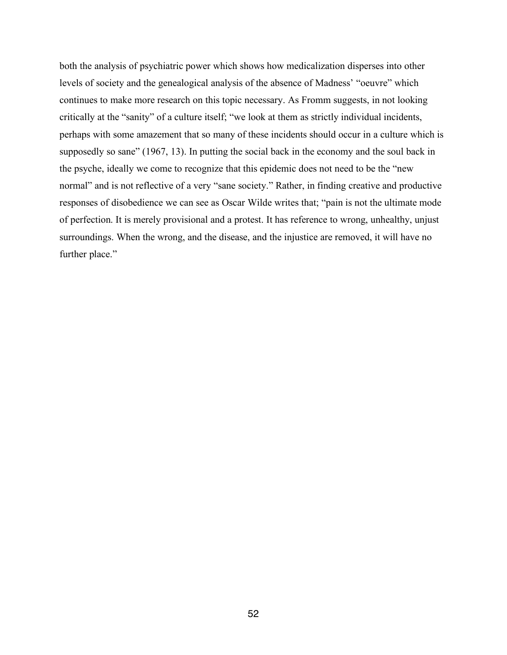both the analysis of psychiatric power which shows how medicalization disperses into other levels of society and the genealogical analysis of the absence of Madness' "oeuvre" which continues to make more research on this topic necessary. As Fromm suggests, in not looking critically at the "sanity" of a culture itself; "we look at them as strictly individual incidents, perhaps with some amazement that so many of these incidents should occur in a culture which is supposedly so sane" (1967, 13). In putting the social back in the economy and the soul back in the psyche, ideally we come to recognize that this epidemic does not need to be the "new normal" and is not reflective of a very "sane society." Rather, in finding creative and productive responses of disobedience we can see as Oscar Wilde writes that; "pain is not the ultimate mode of perfection. It is merely provisional and a protest. It has reference to wrong, unhealthy, unjust surroundings. When the wrong, and the disease, and the injustice are removed, it will have no further place."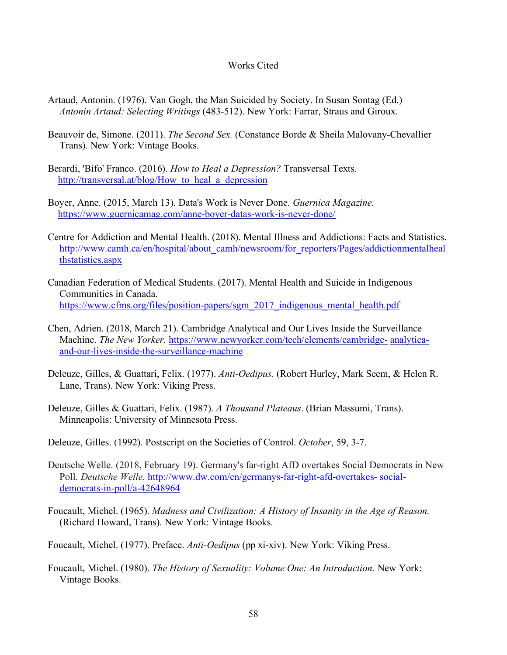# Works Cited

- Artaud, Antonin. (1976). Van Gogh, the Man Suicided by Society. In Susan Sontag (Ed.) *Antonin Artaud: Selecting Writings* (483-512). New York: Farrar, Straus and Giroux.
- Beauvoir de, Simone. (2011). *The Second Sex.* (Constance Borde & Sheila Malovany-Chevallier Trans). New York: Vintage Books.
- Berardi, 'Bifo' Franco. (2016). *How to Heal a Depression?* Transversal Texts. http://transversal.at/blog/How to heal a depression
- Boyer, Anne. (2015, March 13). Data's Work is Never Done. *Guernica Magazine.*  https://www.guernicamag.com/anne-boyer-datas-work-is-never-done/
- Centre for Addiction and Mental Health. (2018). Mental Illness and Addictions: Facts and Statistics. http://www.camh.ca/en/hospital/about\_camh/newsroom/for\_reporters/Pages/addictionmentalheal thstatistics.aspx
- Canadian Federation of Medical Students. (2017). Mental Health and Suicide in Indigenous Communities in Canada. https://www.cfms.org/files/position-papers/sgm\_2017\_indigenous\_mental\_health.pdf
- Chen, Adrien. (2018, March 21). Cambridge Analytical and Our Lives Inside the Surveillance Machine. *The New Yorker.* https://www.newyorker.com/tech/elements/cambridge- analyticaand-our-lives-inside-the-surveillance-machine
- Deleuze, Gilles, & Guattari, Felix. (1977). *Anti-Oedipus.* (Robert Hurley, Mark Seem, & Helen R. Lane, Trans). New York: Viking Press.
- Deleuze, Gilles & Guattari, Felix. (1987). *A Thousand Plateaus*. (Brian Massumi, Trans). Minneapolis: University of Minnesota Press.
- Deleuze, Gilles. (1992). Postscript on the Societies of Control. *October*, 59, 3-7.
- Deutsche Welle. (2018, February 19). Germany's far-right AfD overtakes Social Democrats in New Poll. *Deutsche Welle.* http://www.dw.com/en/germanys-far-right-afd-overtakes- socialdemocrats-in-poll/a-42648964
- Foucault, Michel. (1965). *Madness and Civilization: A History of Insanity in the Age of Reason.*  (Richard Howard, Trans). New York: Vintage Books.
- Foucault, Michel. (1977). Preface. *Anti-Oedipus* (pp xi-xiv). New York: Viking Press.
- Foucault, Michel. (1980). *The History of Sexuality: Volume One: An Introduction.* New York: Vintage Books.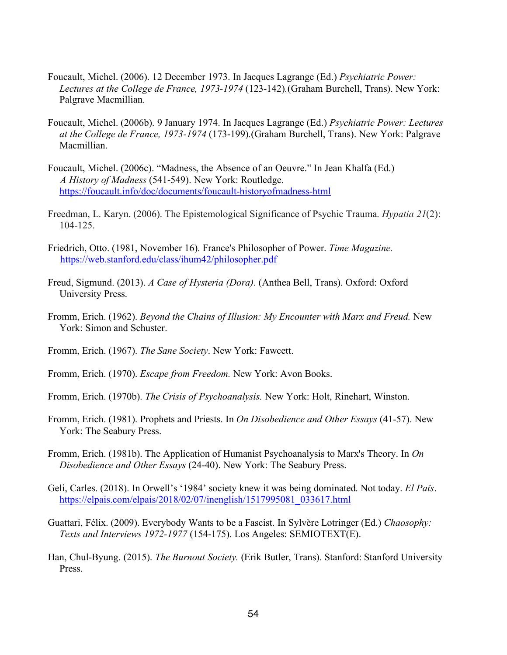- Foucault, Michel. (2006). 12 December 1973. In Jacques Lagrange (Ed.) *Psychiatric Power: Lectures at the College de France, 1973-1974* (123-142)*.*(Graham Burchell, Trans). New York: Palgrave Macmillian.
- Foucault, Michel. (2006b). 9 January 1974. In Jacques Lagrange (Ed.) *Psychiatric Power: Lectures at the College de France, 1973-1974* (173-199)*.*(Graham Burchell, Trans). New York: Palgrave Macmillian.
- Foucault, Michel. (2006c). "Madness, the Absence of an Oeuvre." In Jean Khalfa (Ed.)  *A History of Madness* (541-549). New York: Routledge. https://foucault.info/doc/documents/foucault-historyofmadness-html
- Freedman, L. Karyn. (2006). The Epistemological Significance of Psychic Trauma. *Hypatia 21*(2): 104-125.
- Friedrich, Otto. (1981, November 16). France's Philosopher of Power. *Time Magazine.* https://web.stanford.edu/class/ihum42/philosopher.pdf
- Freud, Sigmund. (2013). *A Case of Hysteria (Dora)*. (Anthea Bell, Trans). Oxford: Oxford University Press.
- Fromm, Erich. (1962). *Beyond the Chains of Illusion: My Encounter with Marx and Freud.* New York: Simon and Schuster.
- Fromm, Erich. (1967). *The Sane Society*. New York: Fawcett.
- Fromm, Erich. (1970). *Escape from Freedom.* New York: Avon Books.
- Fromm, Erich. (1970b). *The Crisis of Psychoanalysis.* New York: Holt, Rinehart, Winston.
- Fromm, Erich. (1981). Prophets and Priests. In *On Disobedience and Other Essays* (41-57). New York: The Seabury Press.
- Fromm, Erich. (1981b). The Application of Humanist Psychoanalysis to Marx's Theory. In *On Disobedience and Other Essays* (24-40). New York: The Seabury Press.
- Geli, Carles. (2018). In Orwell's '1984' society knew it was being dominated. Not today. *El País.*  https://elpais.com/elpais/2018/02/07/inenglish/1517995081\_033617.html
- Guattari, Félix. (2009). Everybody Wants to be a Fascist. In Sylvère Lotringer (Ed.) *Chaosophy: Texts and Interviews 1972-1977* (154-175). Los Angeles: SEMIOTEXT(E).
- Han, Chul-Byung. (2015). *The Burnout Society.* (Erik Butler, Trans). Stanford: Stanford University Press.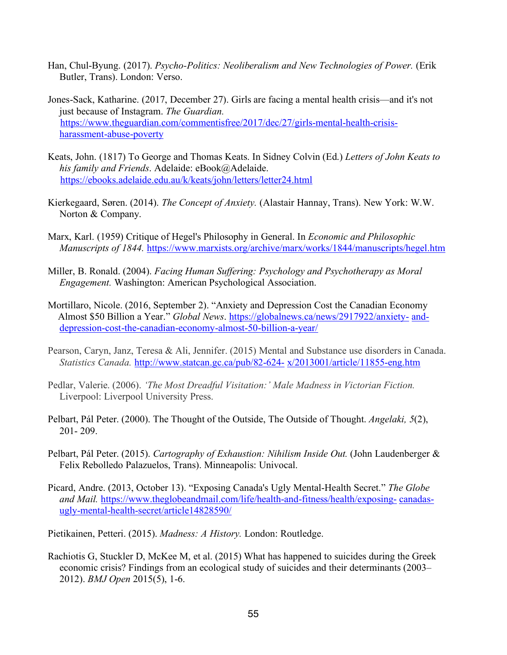- Han, Chul-Byung. (2017). *Psycho-Politics: Neoliberalism and New Technologies of Power*. (Erik Butler, Trans). London: Verso.
- Jones-Sack, Katharine. (2017, December 27). Girls are facing a mental health crisis—and it's not just because of Instagram. *The Guardian.* https://www.theguardian.com/commentisfree/2017/dec/27/girls-mental-health-crisisharassment-abuse-poverty
- Keats, John. (1817) To George and Thomas Keats. In Sidney Colvin (Ed.) *Letters of John Keats to his family and Friends*. Adelaide: eBook@Adelaide. https://ebooks.adelaide.edu.au/k/keats/john/letters/letter24.html
- Kierkegaard, Søren. (2014). *The Concept of Anxiety.* (Alastair Hannay, Trans). New York: W.W. Norton & Company.
- Marx, Karl. (1959) Critique of Hegel's Philosophy in General. In *Economic and Philosophic Manuscripts of 1844.* https://www.marxists.org/archive/marx/works/1844/manuscripts/hegel.htm
- Miller, B. Ronald. (2004). *Facing Human Suffering: Psychology and Psychotherapy as Moral Engagement.* Washington: American Psychological Association.
- Mortillaro, Nicole. (2016, September 2). "Anxiety and Depression Cost the Canadian Economy Almost \$50 Billion a Year." *Global News*. https://globalnews.ca/news/2917922/anxiety- anddepression-cost-the-canadian-economy-almost-50-billion-a-year/
- Pearson, Caryn, Janz, Teresa & Ali, Jennifer. (2015) Mental and Substance use disorders in Canada. *Statistics Canada.* http://www.statcan.gc.ca/pub/82-624- x/2013001/article/11855-eng.htm
- Pedlar, Valerie. (2006). *'The Most Dreadful Visitation:' Male Madness in Victorian Fiction.*  Liverpool: Liverpool University Press.
- Pelbart, Pál Peter. (2000). The Thought of the Outside, The Outside of Thought. *Angelaki, 5*(2), 201- 209.
- Pelbart, Pál Peter. (2015). *Cartography of Exhaustion: Nihilism Inside Out.* (John Laudenberger & Felix Rebolledo Palazuelos, Trans). Minneapolis: Univocal.
- Picard, Andre. (2013, October 13). "Exposing Canada's Ugly Mental-Health Secret." *The Globe and Mail.* https://www.theglobeandmail.com/life/health-and-fitness/health/exposing- canadasugly-mental-health-secret/article14828590/

Pietikainen, Petteri. (2015). *Madness: A History.* London: Routledge.

Rachiotis G, Stuckler D, McKee M, et al. (2015) What has happened to suicides during the Greek economic crisis? Findings from an ecological study of suicides and their determinants (2003– 2012). *BMJ Open* 2015(5), 1-6.